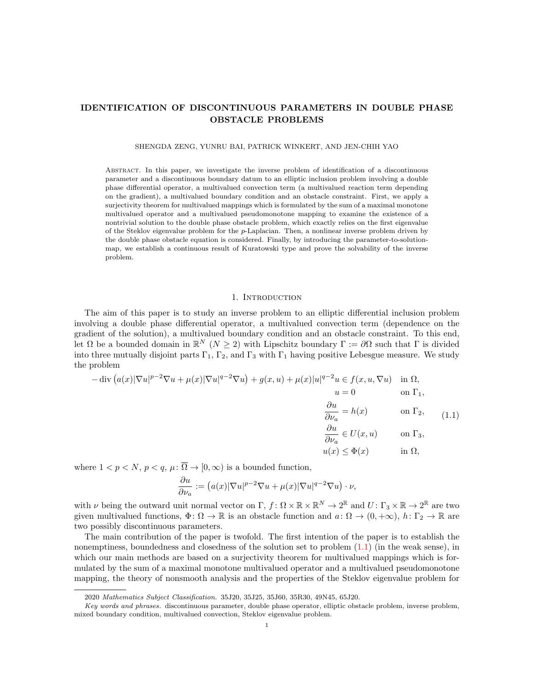# IDENTIFICATION OF DISCONTINUOUS PARAMETERS IN DOUBLE PHASE OBSTACLE PROBLEMS

SHENGDA ZENG, YUNRU BAI, PATRICK WINKERT, AND JEN-CHIH YAO

Abstract. In this paper, we investigate the inverse problem of identification of a discontinuous parameter and a discontinuous boundary datum to an elliptic inclusion problem involving a double phase differential operator, a multivalued convection term (a multivalued reaction term depending on the gradient), a multivalued boundary condition and an obstacle constraint. First, we apply a surjectivity theorem for multivalued mappings which is formulated by the sum of a maximal monotone multivalued operator and a multivalued pseudomonotone mapping to examine the existence of a nontrivial solution to the double phase obstacle problem, which exactly relies on the first eigenvalue of the Steklov eigenvalue problem for the p-Laplacian. Then, a nonlinear inverse problem driven by the double phase obstacle equation is considered. Finally, by introducing the parameter-to-solutionmap, we establish a continuous result of Kuratowski type and prove the solvability of the inverse problem.

# 1. INTRODUCTION

The aim of this paper is to study an inverse problem to an elliptic differential inclusion problem involving a double phase differential operator, a multivalued convection term (dependence on the gradient of the solution), a multivalued boundary condition and an obstacle constraint. To this end, let  $\Omega$  be a bounded domain in  $\mathbb{R}^N$  ( $N \geq 2$ ) with Lipschitz boundary  $\Gamma := \partial \Omega$  such that  $\Gamma$  is divided into three mutually disjoint parts  $\Gamma_1$ ,  $\Gamma_2$ , and  $\Gamma_3$  with  $\Gamma_1$  having positive Lebesgue measure. We study the problem

<span id="page-0-0"></span>
$$
-\operatorname{div}\left(a(x)|\nabla u|^{p-2}\nabla u + \mu(x)|\nabla u|^{q-2}\nabla u\right) + g(x,u) + \mu(x)|u|^{q-2}u \in f(x,u,\nabla u) \quad \text{in } \Omega,
$$
\n
$$
u = 0 \qquad \text{on } \Gamma_1,
$$
\n
$$
\frac{\partial u}{\partial \nu_a} = h(x) \qquad \text{on } \Gamma_2, \qquad (1.1)
$$
\n
$$
\frac{\partial u}{\partial \nu_a} \in U(x,u) \qquad \text{on } \Gamma_3,
$$
\n
$$
u(x) \le \Phi(x) \qquad \text{in } \Omega,
$$

where  $1 < p < N$ ,  $p < q$ ,  $\mu \colon \overline{\Omega} \to [0, \infty)$  is a bounded function,

$$
\frac{\partial u}{\partial \nu_a} := (a(x)|\nabla u|^{p-2}\nabla u + \mu(x)|\nabla u|^{q-2}\nabla u) \cdot \nu,
$$

with  $\nu$  being the outward unit normal vector on  $\Gamma$ ,  $f: \Omega \times \mathbb{R} \times \mathbb{R}^N \to 2^{\mathbb{R}}$  and  $U: \Gamma_3 \times \mathbb{R} \to 2^{\mathbb{R}}$  are two given multivalued functions,  $\Phi \colon \Omega \to \mathbb{R}$  is an obstacle function and  $a \colon \Omega \to (0, +\infty)$ ,  $h \colon \Gamma_2 \to \mathbb{R}$  are two possibly discontinuous parameters.

The main contribution of the paper is twofold. The first intention of the paper is to establish the nonemptiness, boundedness and closedness of the solution set to problem [\(1.1\)](#page-0-0) (in the weak sense), in which our main methods are based on a surjectivity theorem for multivalued mappings which is formulated by the sum of a maximal monotone multivalued operator and a multivalued pseudomonotone mapping, the theory of nonsmooth analysis and the properties of the Steklov eigenvalue problem for

<sup>2020</sup> Mathematics Subject Classification. 35J20, 35J25, 35J60, 35R30, 49N45, 65J20.

Key words and phrases. discontinuous parameter, double phase operator, elliptic obstacle problem, inverse problem, mixed boundary condition, multivalued convection, Steklov eigenvalue problem.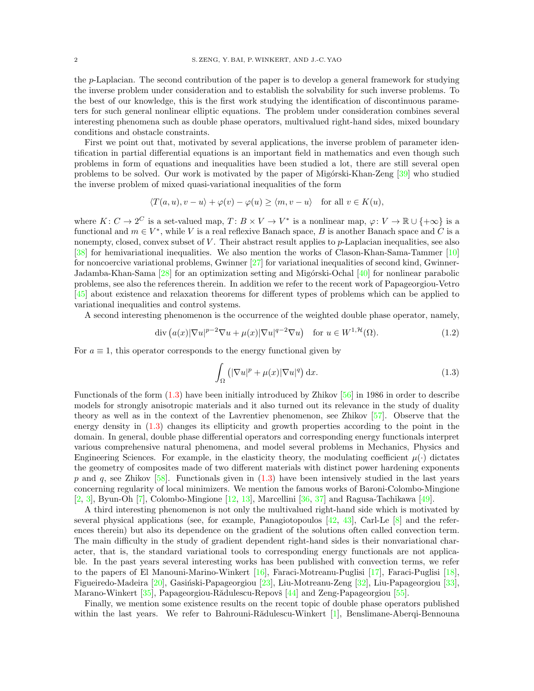the p-Laplacian. The second contribution of the paper is to develop a general framework for studying the inverse problem under consideration and to establish the solvability for such inverse problems. To the best of our knowledge, this is the first work studying the identification of discontinuous parameters for such general nonlinear elliptic equations. The problem under consideration combines several interesting phenomena such as double phase operators, multivalued right-hand sides, mixed boundary conditions and obstacle constraints.

First we point out that, motivated by several applications, the inverse problem of parameter identification in partial differential equations is an important field in mathematics and even though such problems in form of equations and inequalities have been studied a lot, there are still several open problems to be solved. Our work is motivated by the paper of Migórski-Khan-Zeng [\[39\]](#page-20-0) who studied the inverse problem of mixed quasi-variational inequalities of the form

$$
\langle T(a, u), v - u \rangle + \varphi(v) - \varphi(u) \ge \langle m, v - u \rangle \quad \text{for all } v \in K(u),
$$

where  $K: C \to 2^C$  is a set-valued map,  $T: B \times V \to V^*$  is a nonlinear map,  $\varphi: V \to \mathbb{R} \cup \{+\infty\}$  is a functional and  $m \in V^*$ , while V is a real reflexive Banach space, B is another Banach space and C is a nonempty, closed, convex subset of  $V$ . Their abstract result applies to  $p$ -Laplacian inequalities, see also [\[38\]](#page-20-1) for hemivariational inequalities. We also mention the works of Clason-Khan-Sama-Tammer [\[10\]](#page-19-0) for noncoercive variational problems, Gwinner  $[27]$  for variational inequalities of second kind, Gwinner-Jadamba-Khan-Sama [\[28\]](#page-19-2) for an optimization setting and Migórski-Ochal [\[40\]](#page-20-2) for nonlinear parabolic problems, see also the references therein. In addition we refer to the recent work of Papageorgiou-Vetro [\[45\]](#page-20-3) about existence and relaxation theorems for different types of problems which can be applied to variational inequalities and control systems.

A second interesting phenomenon is the occurrence of the weighted double phase operator, namely,

$$
\operatorname{div}\left(a(x)|\nabla u|^{p-2}\nabla u + \mu(x)|\nabla u|^{q-2}\nabla u\right) \quad \text{for } u \in W^{1,\mathcal{H}}(\Omega). \tag{1.2}
$$

For  $a \equiv 1$ , this operator corresponds to the energy functional given by

<span id="page-1-1"></span><span id="page-1-0"></span>
$$
\int_{\Omega} \left( |\nabla u|^p + \mu(x) |\nabla u|^q \right) dx.
$$
\n(1.3)

Functionals of the form [\(1.3\)](#page-1-0) have been initially introduced by Zhikov [\[56\]](#page-20-4) in 1986 in order to describe models for strongly anisotropic materials and it also turned out its relevance in the study of duality theory as well as in the context of the Lavrentiev phenomenon, see Zhikov [\[57\]](#page-20-5). Observe that the energy density in [\(1.3\)](#page-1-0) changes its ellipticity and growth properties according to the point in the domain. In general, double phase differential operators and corresponding energy functionals interpret various comprehensive natural phenomena, and model several problems in Mechanics, Physics and Engineering Sciences. For example, in the elasticity theory, the modulating coefficient  $\mu(\cdot)$  dictates the geometry of composites made of two different materials with distinct power hardening exponents p and q, see Zhikov  $[58]$ . Functionals given in  $(1.3)$  have been intensively studied in the last years concerning regularity of local minimizers. We mention the famous works of Baroni-Colombo-Mingione [\[2,](#page-18-0) [3\]](#page-19-3), Byun-Oh [\[7\]](#page-19-4), Colombo-Mingione [\[12,](#page-19-5) [13\]](#page-19-6), Marcellini [\[36,](#page-20-7) [37\]](#page-20-8) and Ragusa-Tachikawa [\[49\]](#page-20-9).

A third interesting phenomenon is not only the multivalued right-hand side which is motivated by several physical applications (see, for example, Panagiotopoulos  $[42, 43]$  $[42, 43]$ , Carl-Le  $[8]$  and the references therein) but also its dependence on the gradient of the solutions often called convection term. The main difficulty in the study of gradient dependent right-hand sides is their nonvariational character, that is, the standard variational tools to corresponding energy functionals are not applicable. In the past years several interesting works has been published with convection terms, we refer to the papers of El Manouni-Marino-Winkert [\[16\]](#page-19-8), Faraci-Motreanu-Puglisi [\[17\]](#page-19-9), Faraci-Puglisi [\[18\]](#page-19-10), Figueiredo-Madeira [\[20\]](#page-19-11), Gasiński-Papageorgiou [\[23\]](#page-19-12), Liu-Motreanu-Zeng [\[32\]](#page-19-13), Liu-Papageorgiou [\[33\]](#page-19-14), Marano-Winkert [\[35\]](#page-19-15), Papageorgiou-Rădulescu-Repovš [\[44\]](#page-20-12) and Zeng-Papageorgiou [\[55\]](#page-20-13).

Finally, we mention some existence results on the recent topic of double phase operators published within the last years. We refer to Bahrouni-R $\ddot{\text{a}}$ dulescu-Winkert [\[1\]](#page-18-1), Benslimane-Aberqi-Bennouna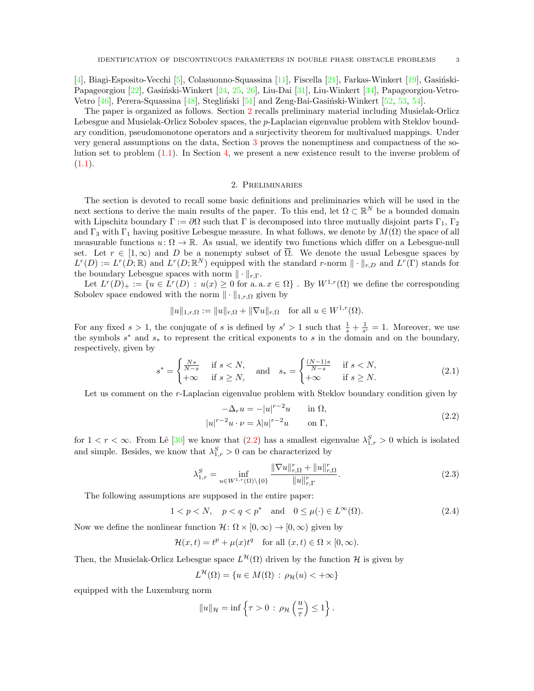[\[4\]](#page-19-16), Biagi-Esposito-Vecchi [\[5\]](#page-19-17), Colasuonno-Squassina [\[11\]](#page-19-18), Fiscella [\[21\]](#page-19-19), Farkas-Winkert [\[19\]](#page-19-20), Gasiński-Papageorgiou [\[22\]](#page-19-21), Gasiński-Winkert [\[24,](#page-19-22) [25,](#page-19-23) [26\]](#page-19-24), Liu-Dai [\[31\]](#page-19-25), Liu-Winkert [\[34\]](#page-19-26), Papageorgiou-Vetro-Vetro  $[46]$ , Perera-Squassina  $[48]$ , Stegliński  $[51]$  and Zeng-Bai-Gasiński-Winkert  $[52, 53, 54]$  $[52, 53, 54]$  $[52, 53, 54]$  $[52, 53, 54]$ .

The paper is organized as follows. Section [2](#page-2-0) recalls preliminary material including Musielak-Orlicz Lebesgue and Musielak-Orlicz Sobolev spaces, the p-Laplacian eigenvalue problem with Steklov boundary condition, pseudomonotone operators and a surjectivity theorem for multivalued mappings. Under very general assumptions on the data, Section [3](#page-5-0) proves the nonemptiness and compactness of the solution set to problem  $(1.1)$ . In Section [4,](#page-12-0) we present a new existence result to the inverse problem of  $(1.1).$  $(1.1).$ 

# 2. Preliminaries

<span id="page-2-0"></span>The section is devoted to recall some basic definitions and preliminaries which will be used in the next sections to derive the main results of the paper. To this end, let  $\Omega \subset \mathbb{R}^N$  be a bounded domain with Lipschitz boundary  $\Gamma := \partial \Omega$  such that  $\Gamma$  is decomposed into three mutually disjoint parts  $\Gamma_1$ ,  $\Gamma_2$ and  $\Gamma_3$  with  $\Gamma_1$  having positive Lebesgue measure. In what follows, we denote by  $M(\Omega)$  the space of all measurable functions  $u: \Omega \to \mathbb{R}$ . As usual, we identify two functions which differ on a Lebesgue-null set. Let  $r \in [1,\infty)$  and D be a nonempty subset of  $\overline{\Omega}$ . We denote the usual Lebesgue spaces by  $L^r(D) := L^r(D;\mathbb{R})$  and  $L^r(D;\mathbb{R}^N)$  equipped with the standard r-norm  $\|\cdot\|_{r,D}$  and  $L^r(\Gamma)$  stands for the boundary Lebesgue spaces with norm  $\|\cdot\|_{r,\Gamma}$ .

Let  $L^r(D)_+ := \{u \in L^r(D) : u(x) \geq 0 \text{ for a.a. } x \in \Omega\}$ . By  $W^{1,r}(\Omega)$  we define the corresponding Sobolev space endowed with the norm  $\|\cdot\|_{1,r,\Omega}$  given by

$$
||u||_{1,r,\Omega} := ||u||_{r,\Omega} + ||\nabla u||_{r,\Omega}
$$
 for all  $u \in W^{1,r}(\Omega)$ .

For any fixed  $s > 1$ , the conjugate of s is defined by  $s' > 1$  such that  $\frac{1}{s} + \frac{1}{s'} = 1$ . Moreover, we use the symbols  $s^*$  and  $s_*$  to represent the critical exponents to s in the domain and on the boundary, respectively, given by

$$
s^* = \begin{cases} \frac{Ns}{N-s} & \text{if } s < N, \\ +\infty & \text{if } s \ge N, \end{cases} \quad \text{and} \quad s_* = \begin{cases} \frac{(N-1)s}{N-s} & \text{if } s < N, \\ +\infty & \text{if } s \ge N. \end{cases} \tag{2.1}
$$

Let us comment on the r-Laplacian eigenvalue problem with Steklov boundary condition given by

<span id="page-2-3"></span><span id="page-2-1"></span>
$$
-\Delta_r u = -|u|^{r-2}u \quad \text{in } \Omega,
$$
  

$$
|u|^{r-2}u \cdot \nu = \lambda |u|^{r-2}u \quad \text{on } \Gamma,
$$
 (2.2)

for  $1 < r < \infty$ . From Lê [\[30\]](#page-19-27) we know that  $(2.2)$  has a smallest eigenvalue  $\lambda_{1,r}^S > 0$  which is isolated and simple. Besides, we know that  $\lambda_{1,r}^S > 0$  can be characterized by

<span id="page-2-4"></span><span id="page-2-2"></span>
$$
\lambda_{1,r}^{S} = \inf_{u \in W^{1,r}(\Omega) \setminus \{0\}} \frac{\|\nabla u\|_{r,\Omega}^{r} + \|u\|_{r,\Omega}^{r}}{\|u\|_{r,\Gamma}^{r}}.
$$
\n(2.3)

The following assumptions are supposed in the entire paper:

$$
1 < p < N, \quad p < q < p^* \quad \text{and} \quad 0 \le \mu(\cdot) \in L^\infty(\Omega). \tag{2.4}
$$

Now we define the nonlinear function  $\mathcal{H} \colon \Omega \times [0,\infty) \to [0,\infty)$  given by

$$
\mathcal{H}(x,t) = t^p + \mu(x)t^q \quad \text{for all } (x,t) \in \Omega \times [0,\infty).
$$

Then, the Musielak-Orlicz Lebesgue space  $L^{\mathcal{H}}(\Omega)$  driven by the function H is given by

$$
L^{\mathcal{H}}(\Omega) = \{ u \in M(\Omega) : \rho_{\mathcal{H}}(u) < +\infty \}
$$

equipped with the Luxemburg norm

$$
||u||_{\mathcal{H}} = \inf \left\{ \tau > 0 \, : \, \rho_{\mathcal{H}}\left(\frac{u}{\tau}\right) \leq 1 \right\}.
$$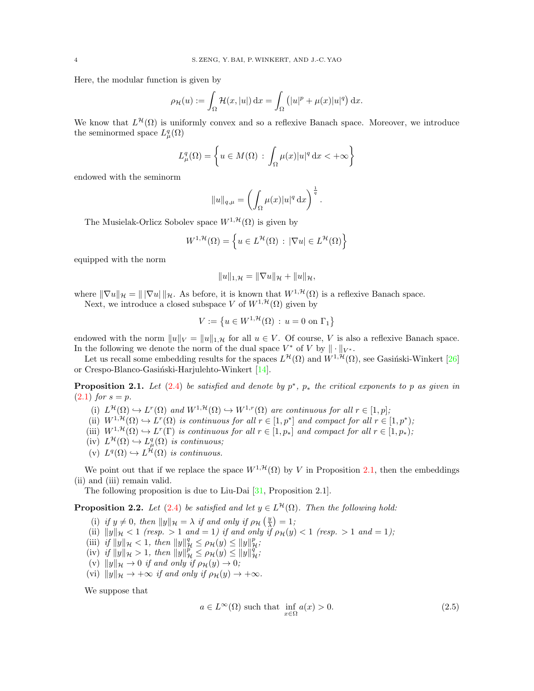Here, the modular function is given by

$$
\rho_{\mathcal{H}}(u) := \int_{\Omega} \mathcal{H}(x, |u|) dx = \int_{\Omega} (|u|^p + \mu(x)|u|^q) dx.
$$

We know that  $L^{\mathcal{H}}(\Omega)$  is uniformly convex and so a reflexive Banach space. Moreover, we introduce the seminormed space  $L^q_\mu(\Omega)$ 

$$
L^q_\mu(\Omega) = \left\{ u \in M(\Omega) : \int_{\Omega} \mu(x) |u|^q \, \mathrm{d}x < +\infty \right\}
$$

endowed with the seminorm

$$
||u||_{q,\mu} = \left(\int_{\Omega} \mu(x)|u|^q dx\right)^{\frac{1}{q}}.
$$

The Musielak-Orlicz Sobolev space  $W^{1, \mathcal{H}}(\Omega)$  is given by

$$
W^{1,\mathcal{H}}(\Omega) = \left\{ u \in L^{\mathcal{H}}(\Omega) : |\nabla u| \in L^{\mathcal{H}}(\Omega) \right\}
$$

equipped with the norm

$$
||u||_{1,\mathcal{H}} = ||\nabla u||_{\mathcal{H}} + ||u||_{\mathcal{H}},
$$

where  $\|\nabla u\|_{\mathcal{H}} = \|\nabla u\|_{\mathcal{H}}$ . As before, it is known that  $W^{1,\mathcal{H}}(\Omega)$  is a reflexive Banach space.

Next, we introduce a closed subspace V of  $W^{1, \mathcal{H}}(\Omega)$  given by

$$
V := \left\{ u \in W^{1, \mathcal{H}}(\Omega) \, : \, u = 0 \text{ on } \Gamma_1 \right\}
$$

endowed with the norm  $||u||_V = ||u||_{1,\mathcal{H}}$  for all  $u \in V$ . Of course, V is also a reflexive Banach space. In the following we denote the norm of the dual space  $V^*$  of V by  $\|\cdot\|_{V^*}$ .

Let us recall some embedding results for the spaces  $L^{\mathcal{H}}(\Omega)$  and  $W^{1,\mathcal{H}}(\Omega)$ , see Gasiński-Winkert [\[26\]](#page-19-24) or Crespo-Blanco-Gasiński-Harjulehto-Winkert [\[14\]](#page-19-28).

<span id="page-3-0"></span>**Proposition 2.1.** Let  $(2.4)$  be satisfied and denote by  $p^*$ ,  $p_*$  the critical exponents to p as given in  $(2.1)$  for  $s = p$ .

- (i)  $L^{\mathcal{H}}(\Omega) \hookrightarrow L^{r}(\Omega)$  and  $W^{1,\mathcal{H}}(\Omega) \hookrightarrow W^{1,r}(\Omega)$  are continuous for all  $r \in [1,p]$ ;
- (ii)  $W^{1,\mathcal{H}}(\Omega) \hookrightarrow L^r(\Omega)$  is continuous for all  $r \in [1,p^*]$  and compact for all  $r \in [1,p^*);$
- (iii)  $W^{1,\mathcal{H}}(\Omega) \hookrightarrow L^r(\Gamma)$  is continuous for all  $r \in [1,p_*]$  and compact for all  $r \in [1,p_*)$ ;
- $(iv) L^{\mathcal{H}}(\Omega) \hookrightarrow L^q_{\mu}(\Omega)$  is continuous;
- (v)  $L^q(\Omega) \hookrightarrow L^{\mathcal{H}}(\Omega)$  is continuous.

We point out that if we replace the space  $W^{1, \mathcal{H}}(\Omega)$  by V in Proposition [2.1,](#page-3-0) then the embeddings (ii) and (iii) remain valid.

The following proposition is due to Liu-Dai [\[31,](#page-19-25) Proposition 2.1].

**Proposition 2.2.** Let [\(2.4\)](#page-2-2) be satisfied and let  $y \in L^{\mathcal{H}}(\Omega)$ . Then the following hold:

- (i) if  $y \neq 0$ , then  $||y||_{\mathcal{H}} = \lambda$  if and only if  $\rho_{\mathcal{H}}\left(\frac{y}{\lambda}\right) = 1$ ;
- (ii)  $||y||_{\mathcal{H}} < 1$  (resp.  $> 1$  and  $= 1$ ) if and only if  $\rho_{\mathcal{H}}(y) < 1$  (resp.  $> 1$  and  $= 1$ );
- (iii) if  $||y||_{\mathcal{H}} < 1$ , then  $||y||_{\mathcal{H}}^q \le \rho_{\mathcal{H}}(y) \le ||y||_{\mathcal{H}}^p$ ;
- (iv) if  $||y||_{\mathcal{H}} > 1$ , then  $||y||_{\mathcal{H}}^p \le \rho_{\mathcal{H}}(y) \le ||y||_{\mathcal{H}}^q$ ;
- (v)  $||y||_{\mathcal{H}} \to 0$  if and only if  $\rho_{\mathcal{H}}(y) \to 0$ ;
- (vi)  $||y||_{\mathcal{H}} \rightarrow +\infty$  if and only if  $\rho_{\mathcal{H}}(y) \rightarrow +\infty$ .

We suppose that

<span id="page-3-1"></span>
$$
a \in L^{\infty}(\Omega) \text{ such that } \inf_{x \in \Omega} a(x) > 0.
$$
 (2.5)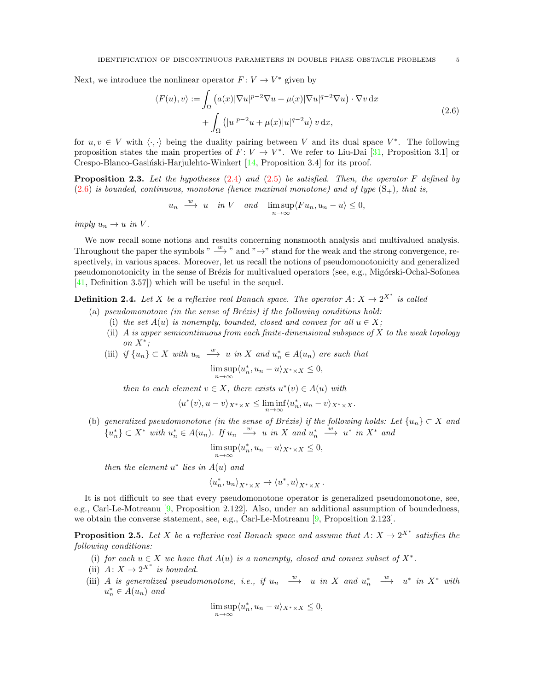Next, we introduce the nonlinear operator  $F: V \to V^*$  given by

<span id="page-4-0"></span>
$$
\langle F(u), v \rangle := \int_{\Omega} \left( a(x) |\nabla u|^{p-2} \nabla u + \mu(x) |\nabla u|^{q-2} \nabla u \right) \cdot \nabla v \, dx
$$
  
+ 
$$
\int_{\Omega} \left( |u|^{p-2} u + \mu(x) |u|^{q-2} u \right) v \, dx,
$$
 (2.6)

for  $u, v \in V$  with  $\langle \cdot, \cdot \rangle$  being the duality pairing between V and its dual space  $V^*$ . The following proposition states the main properties of  $F: V \to V^*$ . We refer to Liu-Dai [\[31,](#page-19-25) Proposition 3.1] or Crespo-Blanco-Gasiński-Harjulehto-Winkert  $[14,$  Proposition 3.4] for its proof.

<span id="page-4-1"></span>**Proposition 2.3.** Let the hypotheses  $(2.4)$  and  $(2.5)$  be satisfied. Then, the operator F defined by  $(2.6)$  is bounded, continuous, monotone (hence maximal monotone) and of type  $(S_{+})$ , that is,

$$
u_n \xrightarrow{w} u
$$
 in V and  $\lim_{n \to \infty} \frac{\text{sup}}{\langle Fu_n, u_n - u \rangle} \leq 0$ ,

imply  $u_n \to u$  in V.

We now recall some notions and results concerning nonsmooth analysis and multivalued analysis. Throughout the paper the symbols "  $\frac{w}{x}$  " and " →" stand for the weak and the strong convergence, respectively, in various spaces. Moreover, let us recall the notions of pseudomonotonicity and generalized pseudomonotonicity in the sense of Brézis for multivalued operators (see, e.g., Migórski-Ochal-Sofonea [\[41,](#page-20-20) Definition 3.57]) which will be useful in the sequel.

**Definition 2.4.** Let X be a reflexive real Banach space. The operator  $A: X \to 2^{X^*}$  is called

- (a) pseudomonotone (in the sense of Brézis) if the following conditions hold:
	- (i) the set  $A(u)$  is nonempty, bounded, closed and convex for all  $u \in X$ ;
	- (ii) A is upper semicontinuous from each finite-dimensional subspace of  $X$  to the weak topology on  $X^*$ ;
	- (iii) if  $\{u_n\} \subset X$  with  $u_n \stackrel{w}{\longrightarrow} u$  in X and  $u_n^* \in A(u_n)$  are such that

$$
\limsup_{n \to \infty} \langle u_n^*, u_n - u \rangle_{X^* \times X} \le 0,
$$

then to each element  $v \in X$ , there exists  $u^*(v) \in A(u)$  with

$$
\langle u^*(v), u-v\rangle_{X^*\times X} \le \liminf_{n\to\infty} \langle u_n^*, u_n-v\rangle_{X^*\times X}.
$$

(b) generalized pseudomonotone (in the sense of Brézis) if the following holds: Let  ${u_n} \subset X$  and  ${u_n^*} \subset X^*$  with  $u_n^* \in A(u_n)$ . If  $u_n \stackrel{w}{\longrightarrow} u$  in X and  $u_n^* \stackrel{w}{\longrightarrow} u^*$  in  $X^*$  and

$$
\limsup_{n \to \infty} \langle u_n^*, u_n - u \rangle_{X^* \times X} \le 0,
$$

then the element  $u^*$  lies in  $A(u)$  and

$$
\langle u_n^*, u_n \rangle_{X^* \times X} \to \langle u^*, u \rangle_{X^* \times X} \, .
$$

It is not difficult to see that every pseudomonotone operator is generalized pseudomonotone, see, e.g., Carl-Le-Motreanu [\[9,](#page-19-29) Proposition 2.122]. Also, under an additional assumption of boundedness, we obtain the converse statement, see, e.g., Carl-Le-Motreanu [\[9,](#page-19-29) Proposition 2.123].

<span id="page-4-2"></span>**Proposition 2.5.** Let X be a reflexive real Banach space and assume that  $A: X \to 2^{X^*}$  satisfies the following conditions:

- (i) for each  $u \in X$  we have that  $A(u)$  is a nonempty, closed and convex subset of  $X^*$ .
- (ii)  $A: X \to 2^{X^*}$  is bounded.
- (iii) A is generalized pseudomonotone, i.e., if  $u_n \xrightarrow{w} u$  in X and  $u_n^* \xrightarrow{w} u^*$  in X<sup>\*</sup> with  $u_n^* \in A(u_n)$  and

$$
\limsup_{n \to \infty} \langle u_n^*, u_n - u \rangle_{X^* \times X} \le 0,
$$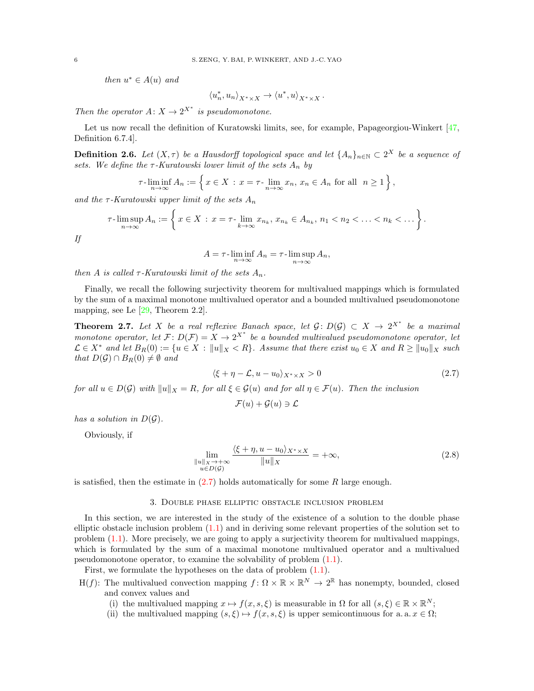then  $u^* \in A(u)$  and

$$
\langle u_n^*, u_n \rangle_{X^* \times X} \to \langle u^*, u \rangle_{X^* \times X} \, .
$$

Then the operator  $A: X \to 2^{X^*}$  is pseudomonotone.

Let us now recall the definition of Kuratowski limits, see, for example, Papageorgiou-Winkert [\[47,](#page-20-21) Definition 6.7.4].

**Definition 2.6.** Let  $(X, \tau)$  be a Hausdorff topological space and let  $\{A_n\}_{n\in\mathbb{N}} \subset 2^X$  be a sequence of sets. We define the  $\tau$ -Kuratowski lower limit of the sets  $A_n$  by

$$
\tau\text{-}\liminf_{n\to\infty} A_n := \left\{ x \in X : x = \tau\text{-}\lim_{n\to\infty} x_n, x_n \in A_n \text{ for all } n \ge 1 \right\},\
$$

and the  $\tau$ -Kuratowski upper limit of the sets  $A_n$ 

$$
\tau\text{-}\limsup_{n\to\infty} A_n := \left\{ x \in X : x = \tau\text{-}\lim_{k\to\infty} x_{n_k}, x_{n_k} \in A_{n_k}, n_1 < n_2 < \ldots < n_k < \ldots \right\}.
$$

If

$$
A = \tau \cdot \liminf_{n \to \infty} A_n = \tau \cdot \limsup_{n \to \infty} A_n,
$$

then A is called  $\tau$ -Kuratowski limit of the sets  $A_n$ .

Finally, we recall the following surjectivity theorem for multivalued mappings which is formulated by the sum of a maximal monotone multivalued operator and a bounded multivalued pseudomonotone mapping, see Le [\[29,](#page-19-30) Theorem 2.2].

<span id="page-5-3"></span>**Theorem 2.7.** Let X be a real reflexive Banach space, let  $\mathcal{G}: D(\mathcal{G}) \subset X \to 2^{X^*}$  be a maximal monotone operator, let  $\mathcal{F}: D(\mathcal{F}) = X \to 2^{X^*}$  be a bounded multivalued pseudomonotone operator, let  $\mathcal{L} \in X^*$  and let  $B_R(0) := \{u \in X : ||u||_X < R\}$ . Assume that there exist  $u_0 \in X$  and  $R \ge ||u_0||_X$  such that  $D(\mathcal{G}) \cap B_R(0) \neq \emptyset$  and

$$
\langle \xi + \eta - \mathcal{L}, u - u_0 \rangle_{X^* \times X} > 0 \tag{2.7}
$$

for all  $u \in D(\mathcal{G})$  with  $||u||_X = R$ , for all  $\xi \in \mathcal{G}(u)$  and for all  $\eta \in \mathcal{F}(u)$ . Then the inclusion

<span id="page-5-2"></span><span id="page-5-1"></span>
$$
\mathcal{F}(u) + \mathcal{G}(u) \ni \mathcal{L}
$$

has a solution in  $D(\mathcal{G})$ .

Obviously, if

$$
\lim_{\substack{\|u\|_{X}\to+\infty\\u\in D(\mathcal{G})}}\frac{\langle \xi+\eta, u-u_{0}\rangle_{X^{*}\times X}}{\|u\|_{X}}=+\infty,
$$
\n(2.8)

<span id="page-5-0"></span>is satisfied, then the estimate in  $(2.7)$  holds automatically for some R large enough.

# 3. Double phase elliptic obstacle inclusion problem

In this section, we are interested in the study of the existence of a solution to the double phase elliptic obstacle inclusion problem [\(1.1\)](#page-0-0) and in deriving some relevant properties of the solution set to problem [\(1.1\)](#page-0-0). More precisely, we are going to apply a surjectivity theorem for multivalued mappings, which is formulated by the sum of a maximal monotone multivalued operator and a multivalued pseudomonotone operator, to examine the solvability of problem [\(1.1\)](#page-0-0).

First, we formulate the hypotheses on the data of problem  $(1.1)$ .

- H(f): The multivalued convection mapping  $f: \Omega \times \mathbb{R} \times \mathbb{R}^N \to 2^{\mathbb{R}}$  has nonempty, bounded, closed and convex values and
	- (i) the multivalued mapping  $x \mapsto f(x, s, \xi)$  is measurable in  $\Omega$  for all  $(s, \xi) \in \mathbb{R} \times \mathbb{R}^N$ ;
	- (ii) the multivalued mapping  $(s, \xi) \mapsto f(x, s, \xi)$  is upper semicontinuous for a. a.  $x \in \Omega$ ;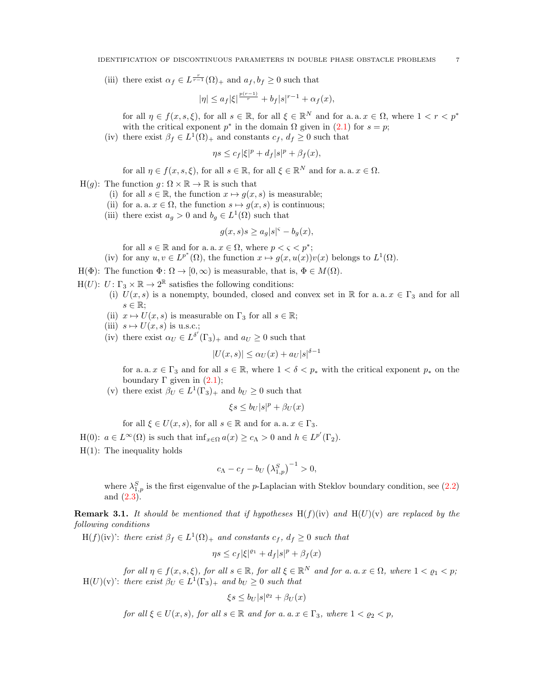(iii) there exist  $\alpha_f \in L^{\frac{r}{r-1}}(\Omega)_+$  and  $a_f, b_f \geq 0$  such that

$$
|\eta| \leq a_f |\xi|^{\frac{p(r-1)}{r}} + b_f |s|^{r-1} + \alpha_f(x),
$$

for all  $\eta \in f(x, s, \xi)$ , for all  $s \in \mathbb{R}$ , for all  $\xi \in \mathbb{R}^N$  and for a.a.  $x \in \Omega$ , where  $1 < r < p^*$ with the critical exponent  $p^*$  in the domain  $\Omega$  given in [\(2.1\)](#page-2-3) for  $s = p$ ;

(iv) there exist  $\beta_f \in L^1(\Omega)_+$  and constants  $c_f, d_f \geq 0$  such that

$$
\eta s \leq c_f |\xi|^p + d_f |s|^p + \beta_f(x),
$$

for all  $\eta \in f(x, s, \xi)$ , for all  $s \in \mathbb{R}$ , for all  $\xi \in \mathbb{R}^N$  and for a. a.  $x \in \Omega$ .

- $H(q)$ : The function  $q: \Omega \times \mathbb{R} \to \mathbb{R}$  is such that
	- (i) for all  $s \in \mathbb{R}$ , the function  $x \mapsto g(x, s)$  is measurable;
	- (ii) for a. a.  $x \in \Omega$ , the function  $s \mapsto g(x, s)$  is continuous;
	- (iii) there exist  $a_g > 0$  and  $b_g \in L^1(\Omega)$  such that

$$
g(x,s)s \ge a_g|s|^{\varsigma} - b_g(x),
$$

for all  $s \in \mathbb{R}$  and for a. a.  $x \in \Omega$ , where  $p < \varsigma < p^*$ ;

(iv) for any  $u, v \in L^{p^*}(\Omega)$ , the function  $x \mapsto g(x, u(x))v(x)$  belongs to  $L^1(\Omega)$ .

- H( $\Phi$ ): The function  $\Phi \colon \Omega \to [0, \infty)$  is measurable, that is,  $\Phi \in M(\Omega)$ .
- $H(U)$ :  $U: \Gamma_3 \times \mathbb{R} \to 2^{\mathbb{R}}$  satisfies the following conditions:
	- (i)  $U(x, s)$  is a nonempty, bounded, closed and convex set in R for a.a.  $x \in \Gamma_3$  and for all  $s \in \mathbb{R}$ ;
	- (ii)  $x \mapsto U(x, s)$  is measurable on  $\Gamma_3$  for all  $s \in \mathbb{R}$ ;
	- (iii)  $s \mapsto U(x, s)$  is u.s.c.;
	- (iv) there exist  $\alpha_U \in L^{\delta'}(\Gamma_3)_+$  and  $a_U \geq 0$  such that

$$
|U(x,s)| \le \alpha_U(x) + a_U|s|^{\delta - 1}
$$

for a. a.  $x \in \Gamma_3$  and for all  $s \in \mathbb{R}$ , where  $1 < \delta < p_*$  with the critical exponent  $p_*$  on the boundary  $\Gamma$  given in  $(2.1)$ ;

(v) there exist  $\beta_U \in L^1(\Gamma_3)_+$  and  $b_U \geq 0$  such that

 $\xi s \leq b_U |s|^p + \beta_U(x)$ 

for all  $\xi \in U(x, s)$ , for all  $s \in \mathbb{R}$  and for a. a.  $x \in \Gamma_3$ .

- H(0):  $a \in L^{\infty}(\Omega)$  is such that  $\inf_{x \in \Omega} a(x) \ge c_{\Lambda} > 0$  and  $h \in L^{p'}(\Gamma_2)$ .
- H(1): The inequality holds

$$
c_{\Lambda} - c_f - b_U (\lambda_{1,p}^S)^{-1} > 0,
$$

where  $\lambda_{1,p}^S$  is the first eigenvalue of the p-Laplacian with Steklov boundary condition, see [\(2.2\)](#page-2-1) and [\(2.3\)](#page-2-4).

**Remark 3.1.** It should be mentioned that if hypotheses  $H(f)(iv)$  and  $H(U)(v)$  are replaced by the following conditions

 $H(f)(iv)$ : there exist  $\beta_f \in L^1(\Omega)_+$  and constants  $c_f$ ,  $d_f \geq 0$  such that

$$
\eta s \leq c_f |\xi|^{\varrho_1} + d_f |s|^p + \beta_f(x)
$$

for all  $\eta \in f(x, s, \xi)$ , for all  $s \in \mathbb{R}$ , for all  $\xi \in \mathbb{R}^N$  and for a. a.  $x \in \Omega$ , where  $1 < \varrho_1 < p$ ;  $H(U)(v)$ : there exist  $\beta_U \in L^1(\Gamma_3)_+$  and  $b_U \geq 0$  such that

$$
\xi s \le b_U |s|^{\varrho_2} + \beta_U(x)
$$

for all  $\xi \in U(x, s)$ , for all  $s \in \mathbb{R}$  and for a. a.  $x \in \Gamma_3$ , where  $1 < \varrho_2 < p$ ,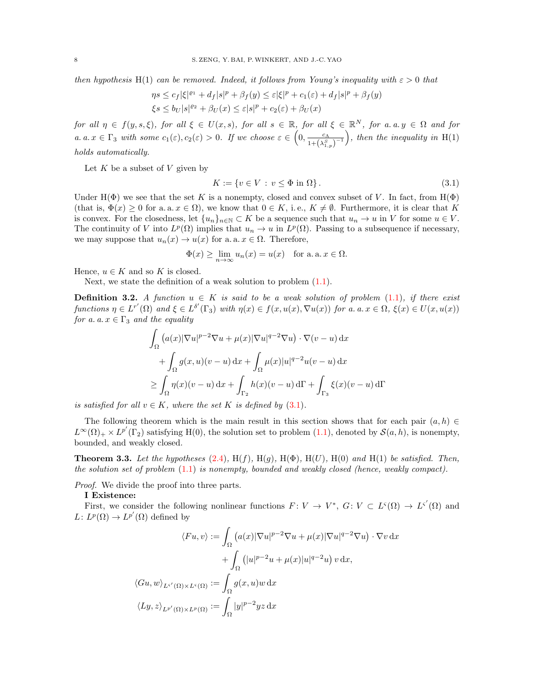then hypothesis H(1) can be removed. Indeed, it follows from Young's inequality with  $\varepsilon > 0$  that

$$
\begin{aligned} \eta s &\leq c_f |\xi|^{p_1} + d_f |s|^p + \beta_f(y) \leq \varepsilon |\xi|^p + c_1(\varepsilon) + d_f |s|^p + \beta_f(y) \\ \xi s &\leq b_U |s|^{p_2} + \beta_U(x) \leq \varepsilon |s|^p + c_2(\varepsilon) + \beta_U(x) \end{aligned}
$$

for all  $\eta \in f(y, s, \xi)$ , for all  $\xi \in U(x, s)$ , for all  $s \in \mathbb{R}$ , for all  $\xi \in \mathbb{R}^N$ , for a. a.  $y \in \Omega$  and for a.  $a \cdot x \in \Gamma_3$  with some  $c_1(\varepsilon), c_2(\varepsilon) > 0$ . If we choose  $\varepsilon \in \left(0, \frac{c_1}{1+(\varepsilon)\varepsilon}\right)$  $\frac{c_{\Lambda}}{1+\left(\lambda_{1,p}^{S}\right)^{-1}}\Big)$ , then the inequality in H(1) holds automatically.

Let  $K$  be a subset of  $V$  given by

<span id="page-7-0"></span>
$$
K := \{ v \in V : v \le \Phi \text{ in } \Omega \}.
$$
\n
$$
(3.1)
$$

Under H( $\Phi$ ) we see that the set K is a nonempty, closed and convex subset of V. In fact, from H( $\Phi$ ) (that is,  $\Phi(x) \geq 0$  for a. a.  $x \in \Omega$ ), we know that  $0 \in K$ , i.e.,  $K \neq \emptyset$ . Furthermore, it is clear that K is convex. For the closedness, let  $\{u_n\}_{n\in\mathbb{N}}\subset K$  be a sequence such that  $u_n\to u$  in V for some  $u\in V$ . The continuity of V into  $L^p(\Omega)$  implies that  $u_n \to u$  in  $L^p(\Omega)$ . Passing to a subsequence if necessary, we may suppose that  $u_n(x) \to u(x)$  for a. a.  $x \in \Omega$ . Therefore,

$$
\Phi(x) \ge \lim_{n \to \infty} u_n(x) = u(x) \quad \text{for a. a. } x \in \Omega.
$$

Hence,  $u \in K$  and so K is closed.

Next, we state the definition of a weak solution to problem  $(1.1)$ .

**Definition 3.2.** A function  $u \in K$  is said to be a weak solution of problem [\(1.1\)](#page-0-0), if there exist functions  $\eta \in L^{r'}(\Omega)$  and  $\xi \in L^{\delta'}(\Gamma_3)$  with  $\eta(x) \in f(x, u(x), \nabla u(x))$  for a. a.  $x \in \Omega$ ,  $\xi(x) \in U(x, u(x))$ for a. a.  $x \in \Gamma_3$  and the equality

$$
\int_{\Omega} (a(x)|\nabla u|^{p-2}\nabla u + \mu(x)|\nabla u|^{q-2}\nabla u) \cdot \nabla (v-u) dx
$$
  
+ 
$$
\int_{\Omega} g(x,u)(v-u) dx + \int_{\Omega} \mu(x)|u|^{q-2}u(v-u) dx
$$
  

$$
\geq \int_{\Omega} \eta(x)(v-u) dx + \int_{\Gamma_2} h(x)(v-u) d\Gamma + \int_{\Gamma_3} \xi(x)(v-u) d\Gamma
$$

is satisfied for all  $v \in K$ , where the set K is defined by  $(3.1)$ .

The following theorem which is the main result in this section shows that for each pair  $(a, h) \in$  $L^{\infty}(\Omega)_{+} \times L^{p'}(\Gamma_2)$  satisfying H(0), the solution set to problem [\(1.1\)](#page-0-0), denoted by  $\mathcal{S}(a, h)$ , is nonempty, bounded, and weakly closed.

<span id="page-7-1"></span>**Theorem 3.3.** Let the hypotheses [\(2.4\)](#page-2-2),  $H(f)$ ,  $H(g)$ ,  $H(\Phi)$ ,  $H(U)$ ,  $H(0)$  and  $H(1)$  be satisfied. Then, the solution set of problem  $(1.1)$  is nonempty, bounded and weakly closed (hence, weakly compact).

Proof. We divide the proof into three parts.

### I Existence:

First, we consider the following nonlinear functions  $F: V \to V^*, G: V \subset L^c(\Omega) \to L^{c'}(\Omega)$  and  $L: L^p(\Omega) \to L^{p'}(\Omega)$  defined by

$$
\langle Fu, v \rangle := \int_{\Omega} \left( a(x) |\nabla u|^{p-2} \nabla u + \mu(x) |\nabla u|^{q-2} \nabla u \right) \cdot \nabla v \, dx
$$

$$
+ \int_{\Omega} \left( |u|^{p-2} u + \mu(x) |u|^{q-2} u \right) v \, dx,
$$

$$
\langle Gu, w \rangle_{L^{s'}(\Omega) \times L^{s}(\Omega)} := \int_{\Omega} g(x, u) w \, dx
$$

$$
\langle Ly, z \rangle_{L^{p'}(\Omega) \times L^{p}(\Omega)} := \int_{\Omega} |y|^{p-2} yz \, dx
$$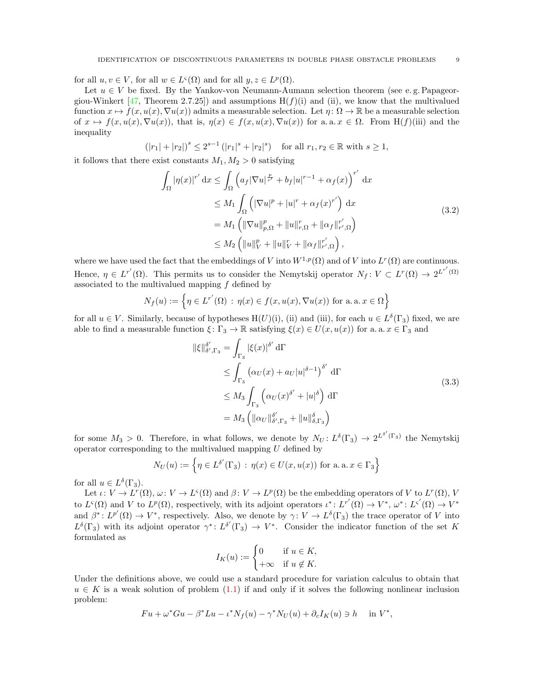for all  $u, v \in V$ , for all  $w \in L^{\varsigma}(\Omega)$  and for all  $y, z \in L^p(\Omega)$ .

Let  $u \in V$  be fixed. By the Yankov-von Neumann-Aumann selection theorem (see e.g. Papageor-giou-Winkert [\[47,](#page-20-21) Theorem 2.7.25]) and assumptions  $H(f)(i)$  and (ii), we know that the multivalued function  $x \mapsto f(x, u(x), \nabla u(x))$  admits a measurable selection. Let  $\eta : \Omega \to \mathbb{R}$  be a measurable selection of  $x \mapsto f(x, u(x), \nabla u(x))$ , that is,  $\eta(x) \in f(x, u(x), \nabla u(x))$  for a. a.  $x \in \Omega$ . From H(f)(iii) and the inequality

$$
(|r_1|+|r_2|)^s\leq 2^{s-1}\,(|r_1|^s+|r_2|^s)\quad\text{for all }r_1,r_2\in\mathbb{R}\text{ with }s\geq 1,
$$

it follows that there exist constants  $M_1, M_2 > 0$  satisfying

<span id="page-8-0"></span>
$$
\int_{\Omega} |\eta(x)|^{r'} dx \leq \int_{\Omega} \left( a_f |\nabla u|^{\frac{p}{r'}} + b_f |u|^{r-1} + \alpha_f(x) \right)^{r'} dx
$$
  
\n
$$
\leq M_1 \int_{\Omega} \left( |\nabla u|^p + |u|^r + \alpha_f(x)^{r'} \right) dx
$$
  
\n
$$
= M_1 \left( ||\nabla u||_{p,\Omega}^p + ||u||_{r,\Omega}^r + ||\alpha_f||_{r',\Omega}^{r'} \right)
$$
  
\n
$$
\leq M_2 \left( ||u||_V^p + ||u||_V^r + ||\alpha_f||_{r',\Omega}^{r'} \right),
$$
\n(3.2)

where we have used the fact that the embeddings of V into  $W^{1,p}(\Omega)$  and of V into  $L^r(\Omega)$  are continuous. Hence,  $\eta \in L^{r'}(\Omega)$ . This permits us to consider the Nemytskij operator  $N_f: V \subset L^{r}(\Omega) \to 2^{L^{r'}(\Omega)}$ associated to the multivalued mapping  $f$  defined by

$$
N_f(u) := \left\{ \eta \in L^{r'}(\Omega) \, : \, \eta(x) \in f(x, u(x), \nabla u(x)) \text{ for a. a. } x \in \Omega \right\}
$$

for all  $u \in V$ . Similarly, because of hypotheses  $H(U)(i)$ , (ii) and (iii), for each  $u \in L^{\delta}(\Gamma_3)$  fixed, we are able to find a measurable function  $\xi: \Gamma_3 \to \mathbb{R}$  satisfying  $\xi(x) \in U(x, u(x))$  for a. a.  $x \in \Gamma_3$  and

<span id="page-8-1"></span>
$$
\|\xi\|_{\delta',\Gamma_3}^{\delta'} = \int_{\Gamma_3} |\xi(x)|^{\delta'} d\Gamma
$$
  
\n
$$
\leq \int_{\Gamma_3} (\alpha_U(x) + a_U|u|^{\delta - 1})^{\delta'} d\Gamma
$$
  
\n
$$
\leq M_3 \int_{\Gamma_3} (\alpha_U(x)^{\delta'} + |u|^\delta) d\Gamma
$$
  
\n
$$
= M_3 \left( \|\alpha_U\|_{\delta',\Gamma_3}^{\delta'} + \|u\|_{\delta,\Gamma_3}^{\delta} \right)
$$
\n(3.3)

for some  $M_3 > 0$ . Therefore, in what follows, we denote by  $N_U: L^{\delta}(\Gamma_3) \to 2^{L^{\delta'}(\Gamma_3)}$  the Nemytskij operator corresponding to the multivalued mapping  $U$  defined by

$$
N_U(u) := \left\{ \eta \in L^{\delta'}(\Gamma_3) : \eta(x) \in U(x, u(x)) \text{ for a. a. } x \in \Gamma_3 \right\}
$$

for all  $u \in L^{\delta}(\Gamma_3)$ .

Let  $\iota: V \to L^r(\Omega), \omega: V \to L^s(\Omega)$  and  $\beta: V \to L^p(\Omega)$  be the embedding operators of V to  $L^r(\Omega), V$ to  $L^s(\Omega)$  and V to  $L^p(\Omega)$ , respectively, with its adjoint operators  $\iota^*: L^{r'}(\Omega) \to V^*$ ,  $\omega^*: L^{s'}(\Omega) \to V^*$ and  $\beta^*: L^{p'}(\Omega) \to V^*$ , respectively. Also, we denote by  $\gamma: V \to L^{\delta}(\Gamma_3)$  the trace operator of V into  $L^{\delta}(\Gamma_3)$  with its adjoint operator  $\gamma^*: L^{\delta'}(\Gamma_3) \to V^*$ . Consider the indicator function of the set K formulated as

$$
I_K(u) := \begin{cases} 0 & \text{if } u \in K, \\ +\infty & \text{if } u \notin K. \end{cases}
$$

Under the definitions above, we could use a standard procedure for variation calculus to obtain that  $u \in K$  is a weak solution of problem  $(1.1)$  if and only if it solves the following nonlinear inclusion problem:

$$
Fu + \omega^* Gu - \beta^* Lu - \iota^* N_f(u) - \gamma^* N_U(u) + \partial_c I_K(u) \ni h \quad \text{in } V^*,
$$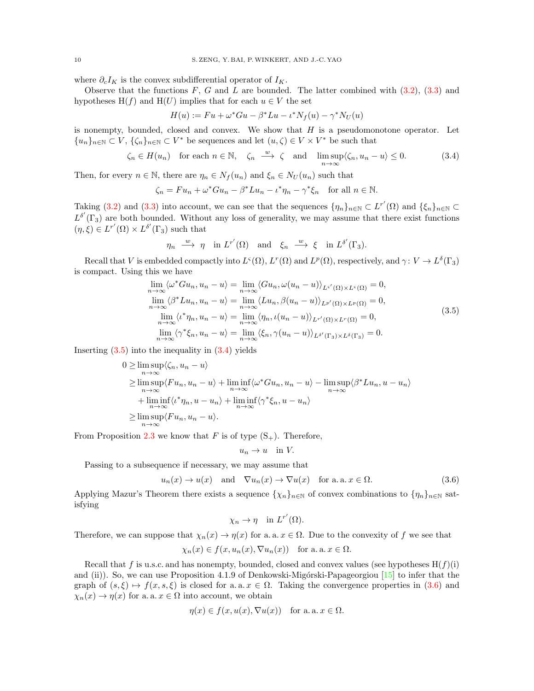where  $\partial_c I_K$  is the convex subdifferential operator of  $I_K$ .

Observe that the functions  $F, G$  and  $L$  are bounded. The latter combined with  $(3.2), (3.3)$  $(3.2), (3.3)$  and hypotheses H(f) and H(U) implies that for each  $u \in V$  the set

<span id="page-9-1"></span>
$$
H(u) := Fu + \omega^* Gu - \beta^* Lu - \iota^* N_f(u) - \gamma^* N_U(u)
$$

is nonempty, bounded, closed and convex. We show that  $H$  is a pseudomonotone operator. Let  ${u_n}_{n\in\mathbb{N}}\subset V, \{\zeta_n\}_{n\in\mathbb{N}}\subset V^*$  be sequences and let  $(u,\zeta)\in V\times V^*$  be such that

$$
\zeta_n \in H(u_n) \quad \text{for each } n \in \mathbb{N}, \quad \zeta_n \xrightarrow{w} \zeta \quad \text{and} \quad \limsup_{n \to \infty} \langle \zeta_n, u_n - u \rangle \le 0. \tag{3.4}
$$

Then, for every  $n \in \mathbb{N}$ , there are  $\eta_n \in N_f(u_n)$  and  $\xi_n \in N_U(u_n)$  such that

$$
\zeta_n = Fu_n + \omega^* Gu_n - \beta^* Lu_n - \iota^* \eta_n - \gamma^* \xi_n \quad \text{for all } n \in \mathbb{N}.
$$

Taking [\(3.2\)](#page-8-0) and [\(3.3\)](#page-8-1) into account, we can see that the sequences  $\{\eta_n\}_{n\in\mathbb{N}}\subset L^{r'}(\Omega)$  and  $\{\xi_n\}_{n\in\mathbb{N}}\subset$  $L^{\delta'}(\Gamma_3)$  are both bounded. Without any loss of generality, we may assume that there exist functions  $(\eta, \xi) \in L^{r'}(\Omega) \times L^{\delta'}(\Gamma_3)$  such that

$$
\eta_n \xrightarrow{w} \eta
$$
 in  $L^{r'}(\Omega)$  and  $\xi_n \xrightarrow{w} \xi$  in  $L^{\delta'}(\Gamma_3)$ .

Recall that V is embedded compactly into  $L^s(\Omega)$ ,  $L^r(\Omega)$  and  $L^p(\Omega)$ , respectively, and  $\gamma: V \to L^{\delta}(\Gamma_3)$ is compact. Using this we have

$$
\lim_{n \to \infty} \langle \omega^* Gu_n, u_n - u \rangle = \lim_{n \to \infty} \langle Gu_n, \omega(u_n - u) \rangle_{L^{s'}(\Omega) \times L^s(\Omega)} = 0,
$$
  
\n
$$
\lim_{n \to \infty} \langle \beta^* Lu_n, u_n - u \rangle = \lim_{n \to \infty} \langle Lu_n, \beta(u_n - u) \rangle_{L^{p'}(\Omega) \times L^p(\Omega)} = 0,
$$
  
\n
$$
\lim_{n \to \infty} \langle \iota^* \eta_n, u_n - u \rangle = \lim_{n \to \infty} \langle \eta_n, \iota(u_n - u) \rangle_{L^{r'}(\Omega) \times L^r(\Omega)} = 0,
$$
  
\n
$$
\lim_{n \to \infty} \langle \gamma^* \xi_n, u_n - u \rangle = \lim_{n \to \infty} \langle \xi_n, \gamma(u_n - u) \rangle_{L^{s'}(\Gamma_3) \times L^{\delta}(\Gamma_3)} = 0.
$$
\n(3.5)

Inserting  $(3.5)$  into the inequality in  $(3.4)$  yields

$$
0 \geq \limsup_{n \to \infty} \langle \zeta_n, u_n - u \rangle
$$
  
\n
$$
\geq \limsup_{n \to \infty} \langle Fu_n, u_n - u \rangle + \liminf_{n \to \infty} \langle \omega^* Gu_n, u_n - u \rangle - \limsup_{n \to \infty} \langle \beta^* Lu_n, u - u_n \rangle
$$
  
\n
$$
+ \liminf_{n \to \infty} \langle \iota^* \eta_n, u - u_n \rangle + \liminf_{n \to \infty} \langle \gamma^* \xi_n, u - u_n \rangle
$$
  
\n
$$
\geq \limsup_{n \to \infty} \langle Fu_n, u_n - u \rangle.
$$

From Proposition [2.3](#page-4-1) we know that F is of type  $(S_+)$ . Therefore,

<span id="page-9-0"></span>
$$
u_n \to u \quad \text{in } V.
$$

Passing to a subsequence if necessary, we may assume that

<span id="page-9-2"></span>
$$
u_n(x) \to u(x)
$$
 and  $\nabla u_n(x) \to \nabla u(x)$  for a. a.  $x \in \Omega$ . (3.6)

Applying Mazur's Theorem there exists a sequence  $\{\chi_n\}_{n\in\mathbb{N}}$  of convex combinations to  $\{\eta_n\}_{n\in\mathbb{N}}$  satisfying

$$
\chi_n \to \eta \quad \text{in } L^{r'}(\Omega).
$$

Therefore, we can suppose that  $\chi_n(x) \to \eta(x)$  for a. a.  $x \in \Omega$ . Due to the convexity of f we see that

$$
\chi_n(x) \in f(x, u_n(x), \nabla u_n(x))
$$
 for a. a.  $x \in \Omega$ .

Recall that f is u.s.c. and has nonempty, bounded, closed and convex values (see hypotheses  $H(f)(i)$ ) and (ii)). So, we can use Proposition 4.1.9 of Denkowski-Migórski-Papageorgiou  $[15]$  to infer that the graph of  $(s, \xi) \mapsto f(x, s, \xi)$  is closed for a. a.  $x \in \Omega$ . Taking the convergence properties in  $(3.6)$  and  $\chi_n(x) \to \eta(x)$  for a. a.  $x \in \Omega$  into account, we obtain

$$
\eta(x) \in f(x, u(x), \nabla u(x))
$$
 for a.a.  $x \in \Omega$ .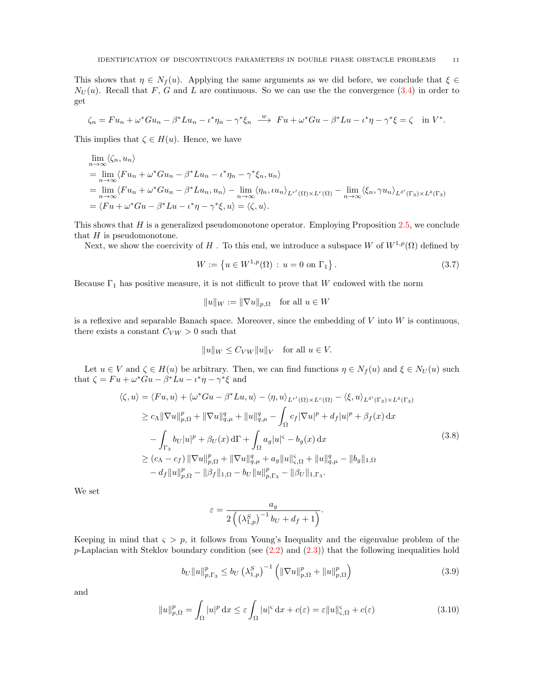This shows that  $\eta \in N_f(u)$ . Applying the same arguments as we did before, we conclude that  $\xi \in$  $N_U(u)$ . Recall that F, G and L are continuous. So we can use the the convergence [\(3.4\)](#page-9-1) in order to get

$$
\zeta_n = Fu_n + \omega^* Gu_n - \beta^* Lu_n - \iota^* \eta_n - \gamma^* \xi_n \xrightarrow{w} Fu + \omega^* Gu - \beta^* Lu - \iota^* \eta - \gamma^* \xi = \zeta \quad \text{in } V^*.
$$

This implies that  $\zeta \in H(u)$ . Hence, we have

$$
\lim_{n \to \infty} \langle \zeta_n, u_n \rangle
$$
\n
$$
= \lim_{n \to \infty} \langle Fu_n + \omega^* Gu_n - \beta^* Lu_n - \iota^* \eta_n - \gamma^* \xi_n, u_n \rangle
$$
\n
$$
= \lim_{n \to \infty} \langle Fu_n + \omega^* Gu_n - \beta^* Lu_n, u_n \rangle - \lim_{n \to \infty} \langle \eta_n, \iota u_n \rangle_{L^{r'}(\Omega) \times L^{r}(\Omega)} - \lim_{n \to \infty} \langle \xi_n, \gamma u_n \rangle_{L^{\delta'}(\Gamma_3) \times L^{\delta}(\Gamma_3)}
$$
\n
$$
= \langle Fu + \omega^* Gu - \beta^* Lu - \iota^* \eta - \gamma^* \xi, u \rangle = \langle \zeta, u \rangle.
$$

This shows that  $H$  is a generalized pseudomonotone operator. Employing Proposition [2.5,](#page-4-2) we conclude that  $H$  is pseudomonotone.

Next, we show the coercivity of H. To this end, we introduce a subspace W of  $W^{1,p}(\Omega)$  defined by

$$
W := \{ u \in W^{1,p}(\Omega) : u = 0 \text{ on } \Gamma_1 \}.
$$
\n(3.7)

Because  $\Gamma_1$  has positive measure, it is not difficult to prove that W endowed with the norm

<span id="page-10-3"></span>
$$
||u||_W := ||\nabla u||_{p,\Omega} \quad \text{for all } u \in W
$$

is a reflexive and separable Banach space. Moreover, since the embedding of  $V$  into  $W$  is continuous, there exists a constant  $C_{VW} > 0$  such that

$$
||u||_W \leq C_{VW} ||u||_V \quad \text{for all } u \in V.
$$

Let  $u \in V$  and  $\zeta \in H(u)$  be arbitrary. Then, we can find functions  $\eta \in N_f(u)$  and  $\xi \in N_U(u)$  such that  $\zeta = Fu + \omega^*Gu - \beta^* Lu - \iota^* \eta - \gamma^* \xi$  and

$$
\langle \zeta, u \rangle = \langle Fu, u \rangle + \langle \omega^* Gu - \beta^* Lu, u \rangle - \langle \eta, u \rangle_{L^{r'}(\Omega) \times L^r(\Omega)} - \langle \xi, u \rangle_{L^{s'}(\Gamma_3) \times L^{\delta}(\Gamma_3)} \geq c_{\Lambda} ||\nabla u||_{p,\Omega}^p + ||\nabla u||_{q,\mu}^q + ||u||_{q,\mu}^q - \int_{\Omega} c_f |\nabla u|^p + d_f |u|^p + \beta_f(x) dx \n- \int_{\Gamma_3} b_U |u|^p + \beta_U(x) d\Gamma + \int_{\Omega} a_g |u|^c - b_g(x) dx \geq (c_{\Lambda} - c_f) ||\nabla u||_{p,\Omega}^p + ||\nabla u||_{q,\mu}^q + a_g ||u||_{\zeta,\Omega}^c + ||u||_{q,\mu}^q - ||b_g||_{1,\Omega} \n- d_f ||u||_{p,\Omega}^p - ||\beta_f ||_{1,\Omega} - b_U ||u||_{p,\Gamma_3}^p - ||\beta_U ||_{1,\Gamma_3}.
$$
\n(3.8)

We set

<span id="page-10-2"></span>
$$
\varepsilon = \frac{a_g}{2\left(\left(\lambda_{1,p}^S\right)^{-1}b_U + d_f + 1\right)}.
$$

Keeping in mind that  $\varsigma > p$ , it follows from Young's Inequality and the eigenvalue problem of the p-Laplacian with Steklov boundary condition (see  $(2.2)$  and  $(2.3)$ ) that the following inequalities hold

<span id="page-10-0"></span>
$$
b_{U} \|u\|_{p,\Gamma_{3}}^{p} \leq b_{U} \left(\lambda_{1,p}^{S}\right)^{-1} \left( \|\nabla u\|_{p,\Omega}^{p} + \|u\|_{p,\Omega}^{p} \right) \tag{3.9}
$$

and

<span id="page-10-1"></span>
$$
||u||_{p,\Omega}^p = \int_{\Omega} |u|^p \, \mathrm{d}x \le \varepsilon \int_{\Omega} |u|^{\varsigma} \, \mathrm{d}x + c(\varepsilon) = \varepsilon ||u||_{\varsigma,\Omega}^{\varsigma} + c(\varepsilon) \tag{3.10}
$$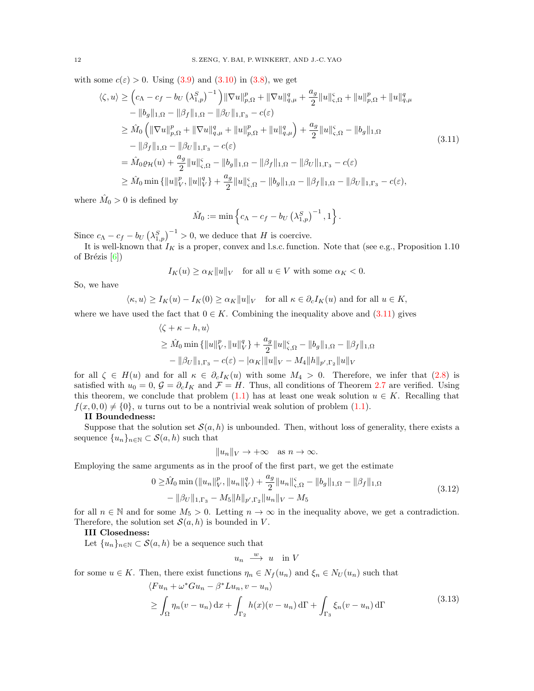with some  $c(\varepsilon) > 0$ . Using  $(3.9)$  and  $(3.10)$  in  $(3.8)$ , we get

$$
\langle \zeta, u \rangle \geq \left( c_{\Lambda} - c_{f} - b_{U} \left( \lambda_{1,p}^{S} \right)^{-1} \right) \|\nabla u\|_{p,\Omega}^{p} + \|\nabla u\|_{q,\mu}^{q} + \frac{a_{g}}{2} \|u\|_{\varsigma,\Omega}^{S} + \|u\|_{p,\Omega}^{p} + \|u\|_{q,\mu}^{q} \n- \|b_{g}\|_{1,\Omega} - \|\beta_{f}\|_{1,\Omega} - \|\beta_{U}\|_{1,\Gamma_{3}} - c(\varepsilon) \n\geq \hat{M}_{0} \left( \|\nabla u\|_{p,\Omega}^{p} + \|\nabla u\|_{q,\mu}^{q} + \|u\|_{p,\Omega}^{p} + \|u\|_{q,\mu}^{q} \right) + \frac{a_{g}}{2} \|u\|_{\varsigma,\Omega}^{S} - \|b_{g}\|_{1,\Omega} \n- \|\beta_{f}\|_{1,\Omega} - \|\beta_{U}\|_{1,\Gamma_{3}} - c(\varepsilon) \n= \hat{M}_{0}\varrho_{\mathcal{H}}(u) + \frac{a_{g}}{2} \|u\|_{\varsigma,\Omega}^{S} - \|b_{g}\|_{1,\Omega} - \|\beta_{f}\|_{1,\Omega} - \|\beta_{U}\|_{1,\Gamma_{3}} - c(\varepsilon) \n\geq \hat{M}_{0} \min \{ \|u\|_{V}^{p}, \|u\|_{V}^{q} \} + \frac{a_{g}}{2} \|u\|_{\varsigma,\Omega}^{S} - \|b_{g}\|_{1,\Omega} - \|\beta_{f}\|_{1,\Omega} - \|\beta_{U}\|_{1,\Gamma_{3}} - c(\varepsilon),
$$
\n(3.11)

where  $\hat{M}_0 > 0$  is defined by

<span id="page-11-0"></span>
$$
\hat{M}_0 := \min \left\{ c_{\Lambda} - c_f - b_U \left( \lambda_{1,p}^S \right)^{-1}, 1 \right\}.
$$

Since  $c_{\Lambda} - c_f - b_U \left( \lambda_{1,p}^S \right)^{-1} > 0$ , we deduce that H is coercive.

It is well-known that  $I_K$  is a proper, convex and l.s.c. function. Note that (see e.g., Proposition 1.10) of Brézis  $[6]$ )

 $I_K(u) \geq \alpha_K ||u||_V$  for all  $u \in V$  with some  $\alpha_K < 0$ .

So, we have

$$
\langle \kappa, u \rangle \ge I_K(u) - I_K(0) \ge \alpha_K \|u\|_V
$$
 for all  $\kappa \in \partial_c I_K(u)$  and for all  $u \in K$ ,

where we have used the fact that  $0 \in K$ . Combining the inequality above and [\(3.11\)](#page-11-0) gives

$$
\langle \zeta + \kappa - h, u \rangle
$$
  
\n
$$
\geq \hat{M}_0 \min \{ ||u||_V^p, ||u||_V^q \} + \frac{a_g}{2} ||u||_{\zeta, \Omega}^{\zeta} - ||b_g||_{1, \Omega} - ||\beta_f||_{1, \Omega}
$$
  
\n
$$
- ||\beta_U||_{1, \Gamma_3} - c(\varepsilon) - |\alpha_K| ||u||_V - M_4 ||h||_{p', \Gamma_2} ||u||_V
$$

for all  $\zeta \in H(u)$  and for all  $\kappa \in \partial_c I_K(u)$  with some  $M_4 > 0$ . Therefore, we infer that [\(2.8\)](#page-5-2) is satisfied with  $u_0 = 0$ ,  $\mathcal{G} = \partial_c I_K$  and  $\mathcal{F} = H$ . Thus, all conditions of Theorem [2.7](#page-5-3) are verified. Using this theorem, we conclude that problem [\(1.1\)](#page-0-0) has at least one weak solution  $u \in K$ . Recalling that  $f(x, 0, 0) \neq \{0\}, u$  turns out to be a nontrivial weak solution of problem [\(1.1\)](#page-0-0).

#### II Boundedness:

Suppose that the solution set  $\mathcal{S}(a, h)$  is unbounded. Then, without loss of generality, there exists a sequence  $\{u_n\}_{n\in\mathbb{N}}\subset\mathcal{S}(a,h)$  such that

 $||u_n||_V \to +\infty \text{ as } n \to \infty.$ 

Employing the same arguments as in the proof of the first part, we get the estimate

$$
0 \geq \hat{M}_0 \min\left(\|u_n\|_{V}^p, \|u_n\|_{V}^q\right) + \frac{a_g}{2} \|u_n\|_{\varsigma,\Omega}^{\varsigma} - \|b_g\|_{1,\Omega} - \|\beta_f\|_{1,\Omega} - \|\beta_U\|_{1,\Gamma_3} - M_5 \|h\|_{p',\Gamma_2} \|u_n\|_{V} - M_5
$$
\n(3.12)

for all  $n \in \mathbb{N}$  and for some  $M_5 > 0$ . Letting  $n \to \infty$  in the inequality above, we get a contradiction. Therefore, the solution set  $\mathcal{S}(a, h)$  is bounded in V.

# III Closedness:

Let  ${u_n}_{n\in\mathbb{N}}\subset \mathcal{S}(a,h)$  be a sequence such that

<span id="page-11-2"></span><span id="page-11-1"></span> $u_n \stackrel{w}{\longrightarrow} u$  in V

for some  $u \in K$ . Then, there exist functions  $\eta_n \in N_f(u_n)$  and  $\xi_n \in N_U(u_n)$  such that

$$
\langle Fu_n + \omega^* Gu_n - \beta^* Lu_n, v - u_n \rangle
$$
  
\n
$$
\geq \int_{\Omega} \eta_n (v - u_n) dx + \int_{\Gamma_2} h(x) (v - u_n) d\Gamma + \int_{\Gamma_3} \xi_n (v - u_n) d\Gamma
$$
\n(3.13)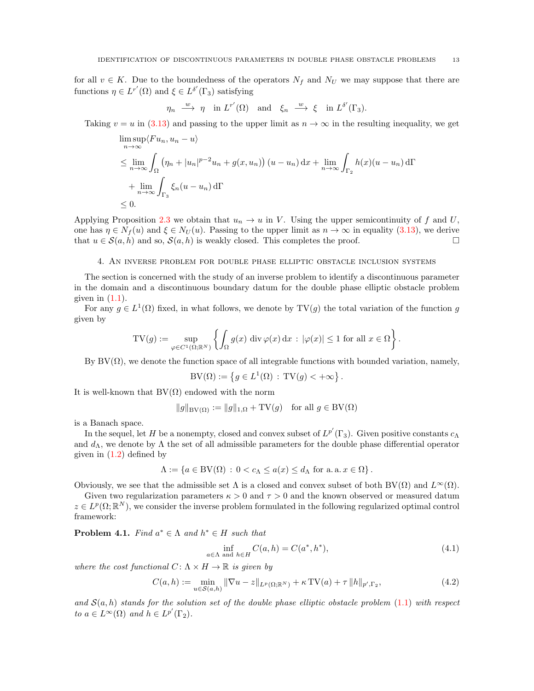for all  $v \in K$ . Due to the boundedness of the operators  $N_f$  and  $N_U$  we may suppose that there are functions  $\eta \in L^{r'}(\Omega)$  and  $\xi \in L^{\delta'}(\Gamma_3)$  satisfying

$$
\eta_n \stackrel{w}{\longrightarrow} \eta
$$
 in  $L^{r'}(\Omega)$  and  $\xi_n \stackrel{w}{\longrightarrow} \xi$  in  $L^{\delta'}(\Gamma_3)$ .

Taking  $v = u$  in [\(3.13\)](#page-11-1) and passing to the upper limit as  $n \to \infty$  in the resulting inequality, we get

$$
\limsup_{n \to \infty} \langle Fu_n, u_n - u \rangle
$$
\n
$$
\leq \lim_{n \to \infty} \int_{\Omega} \left( \eta_n + |u_n|^{p-2} u_n + g(x, u_n) \right) (u - u_n) dx + \lim_{n \to \infty} \int_{\Gamma_2} h(x) (u - u_n) d\Gamma
$$
\n
$$
+ \lim_{n \to \infty} \int_{\Gamma_3} \xi_n (u - u_n) d\Gamma
$$
\n
$$
\leq 0.
$$

Applying Proposition [2.3](#page-4-1) we obtain that  $u_n \to u$  in V. Using the upper semicontinuity of f and U, one has  $\eta \in N_f(u)$  and  $\xi \in N_U(u)$ . Passing to the upper limit as  $n \to \infty$  in equality [\(3.13\)](#page-11-1), we derive that  $u \in \mathcal{S}(a, h)$  and so,  $\mathcal{S}(a, h)$  is weakly closed. This completes the proof.

## 4. An inverse problem for double phase elliptic obstacle inclusion systems

<span id="page-12-0"></span>The section is concerned with the study of an inverse problem to identify a discontinuous parameter in the domain and a discontinuous boundary datum for the double phase elliptic obstacle problem given in  $(1.1)$ .

For any  $g \in L^1(\Omega)$  fixed, in what follows, we denote by  $TV(g)$  the total variation of the function g given by

$$
TV(g) := \sup_{\varphi \in C^1(\Omega;\mathbb{R}^N)} \left\{ \int_{\Omega} g(x) \, \text{div}\, \varphi(x) \, \text{d}x \, : \, |\varphi(x)| \le 1 \text{ for all } x \in \Omega \right\}.
$$

By  $BV(\Omega)$ , we denote the function space of all integrable functions with bounded variation, namely,

$$
BV(\Omega) := \left\{ g \in L^1(\Omega) : TV(g) < +\infty \right\}.
$$

It is well-known that  $BV(\Omega)$  endowed with the norm

$$
||g||_{BV(\Omega)} := ||g||_{1,\Omega} + TV(g) \text{ for all } g \in BV(\Omega)
$$

is a Banach space.

In the sequel, let H be a nonempty, closed and convex subset of  $L^{p'}(\Gamma_3)$ . Given positive constants  $c_\Lambda$ and  $d_{\Lambda}$ , we denote by  $\Lambda$  the set of all admissible parameters for the double phase differential operator given in  $(1.2)$  defined by

$$
\Lambda := \{ a \in BV(\Omega) : 0 < c_{\Lambda} \le a(x) \le d_{\Lambda} \text{ for a. a. } x \in \Omega \}.
$$

Obviously, we see that the admissible set  $\Lambda$  is a closed and convex subset of both BV( $\Omega$ ) and  $L^{\infty}(\Omega)$ .

Given two regularization parameters  $\kappa > 0$  and  $\tau > 0$  and the known observed or measured datum  $z \in L^p(\Omega;\mathbb{R}^N)$ , we consider the inverse problem formulated in the following regularized optimal control framework:

<span id="page-12-1"></span>**Problem 4.1.** Find  $a^* \in \Lambda$  and  $h^* \in H$  such that

<span id="page-12-3"></span>
$$
\inf_{a \in \Lambda \text{ and } h \in H} C(a, h) = C(a^*, h^*),\tag{4.1}
$$

where the cost functional  $C: \Lambda \times H \to \mathbb{R}$  is given by

<span id="page-12-2"></span>
$$
C(a, h) := \min_{u \in S(a, h)} \|\nabla u - z\|_{L^p(\Omega; \mathbb{R}^N)} + \kappa \operatorname{TV}(a) + \tau \|h\|_{p', \Gamma_2},\tag{4.2}
$$

and  $S(a, h)$  stands for the solution set of the double phase elliptic obstacle problem  $(1.1)$  with respect to  $a \in L^{\infty}(\Omega)$  and  $h \in L^{p'}(\Gamma_2)$ .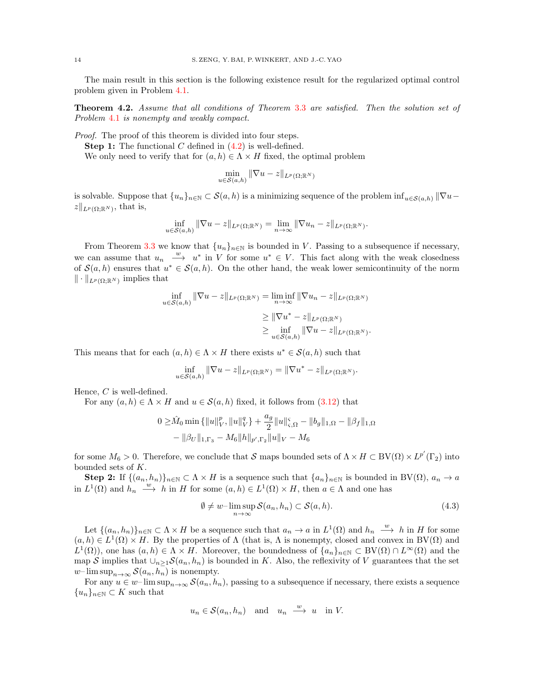The main result in this section is the following existence result for the regularized optimal control problem given in Problem [4.1.](#page-12-1)

Theorem 4.2. Assume that all conditions of Theorem [3.3](#page-7-1) are satisfied. Then the solution set of Problem [4.1](#page-12-1) is nonempty and weakly compact.

Proof. The proof of this theorem is divided into four steps.

**Step 1:** The functional C defined in  $(4.2)$  is well-defined.

We only need to verify that for  $(a, h) \in \Lambda \times H$  fixed, the optimal problem

$$
\min_{u \in \mathcal{S}(a,h)} \|\nabla u - z\|_{L^p(\Omega; \mathbb{R}^N)}
$$

is solvable. Suppose that  $\{u_n\}_{n\in\mathbb{N}}\subset\mathcal{S}(a,h)$  is a minimizing sequence of the problem inf $u\in\mathcal{S}(a,h)$   $\|\nabla u-\nabla u\|^2$  $||z||_{L^p(\Omega;\mathbb{R}^N)}$ , that is,

$$
\inf_{u \in \mathcal{S}(a,h)} \|\nabla u - z\|_{L^p(\Omega; \mathbb{R}^N)} = \lim_{n \to \infty} \|\nabla u_n - z\|_{L^p(\Omega; \mathbb{R}^N)}.
$$

From Theorem [3.3](#page-7-1) we know that  $\{u_n\}_{n\in\mathbb{N}}$  is bounded in V. Passing to a subsequence if necessary, we can assume that  $u_n \stackrel{w}{\longrightarrow} u^*$  in V for some  $u^* \in V$ . This fact along with the weak closedness of  $\mathcal{S}(a, h)$  ensures that  $u^* \in \mathcal{S}(a, h)$ . On the other hand, the weak lower semicontinuity of the norm  $\|\cdot\|_{L^p(\Omega;\mathbb{R}^N)}$  implies that

$$
\inf_{u \in \mathcal{S}(a,h)} \|\nabla u - z\|_{L^p(\Omega; \mathbb{R}^N)} = \liminf_{n \to \infty} \|\nabla u_n - z\|_{L^p(\Omega; \mathbb{R}^N)}
$$

$$
\geq \|\nabla u^* - z\|_{L^p(\Omega; \mathbb{R}^N)}
$$

$$
\geq \inf_{u \in \mathcal{S}(a,h)} \|\nabla u - z\|_{L^p(\Omega; \mathbb{R}^N)}.
$$

This means that for each  $(a, h) \in \Lambda \times H$  there exists  $u^* \in \mathcal{S}(a, h)$  such that

$$
\inf_{u \in \mathcal{S}(a,h)} \|\nabla u - z\|_{L^p(\Omega; \mathbb{R}^N)} = \|\nabla u^* - z\|_{L^p(\Omega; \mathbb{R}^N)}.
$$

Hence, C is well-defined.

For any  $(a, h) \in \Lambda \times H$  and  $u \in \mathcal{S}(a, h)$  fixed, it follows from  $(3.12)$  that

$$
0 \geq \hat{M}_0 \min \{ ||u||_V^p, ||u||_V^q \} + \frac{a_g}{2} ||u||_{\varsigma, \Omega}^{\varsigma} - ||b_g||_{1, \Omega} - ||\beta_f||_{1, \Omega} - ||\beta_V||_{1, \Gamma_3} - M_6 ||h||_{p', \Gamma_2} ||u||_V - M_6
$$

for some  $M_6 > 0$ . Therefore, we conclude that S maps bounded sets of  $\Lambda \times H \subset BV(\Omega) \times L^{p'}(\Gamma_2)$  into bounded sets of K.

**Step 2:** If  $\{(a_n, h_n)\}_{n\in\mathbb{N}} \subset \Lambda \times H$  is a sequence such that  $\{a_n\}_{n\in\mathbb{N}}$  is bounded in BV $(\Omega)$ ,  $a_n \to a$ in  $L^1(\Omega)$  and  $h_n \stackrel{w}{\longrightarrow} h$  in H for some  $(a, h) \in L^1(\Omega) \times H$ , then  $a \in \Lambda$  and one has

<span id="page-13-0"></span>
$$
\emptyset \neq w-\limsup_{n\to\infty} \mathcal{S}(a_n, h_n) \subset \mathcal{S}(a, h). \tag{4.3}
$$

Let  $\{(a_n, h_n)\}_{n \in \mathbb{N}} \subset \Lambda \times H$  be a sequence such that  $a_n \to a$  in  $L^1(\Omega)$  and  $h_n \stackrel{w}{\longrightarrow} h$  in H for some  $(a, h) \in L^1(\Omega) \times H$ . By the properties of  $\Lambda$  (that is,  $\Lambda$  is nonempty, closed and convex in BV( $\Omega$ ) and  $L^1(\Omega)$ , one has  $(a, h) \in \Lambda \times H$ . Moreover, the boundedness of  $\{a_n\}_{n\in\mathbb{N}} \subset BV(\Omega) \cap L^{\infty}(\Omega)$  and the map S implies that  $\bigcup_{n\geq 1}S(a_n, h_n)$  is bounded in K. Also, the reflexivity of V guarantees that the set w– $\limsup_{n\to\infty} \mathcal{S}(a_n, h_n)$  is nonempty.

For any  $u \in w-\limsup_{n\to\infty} S(a_n, h_n)$ , passing to a subsequence if necessary, there exists a sequence  ${u_n}_{n\in\mathbb{N}}\subset K$  such that

$$
u_n \in \mathcal{S}(a_n, h_n)
$$
 and  $u_n \xrightarrow{w} u$  in V.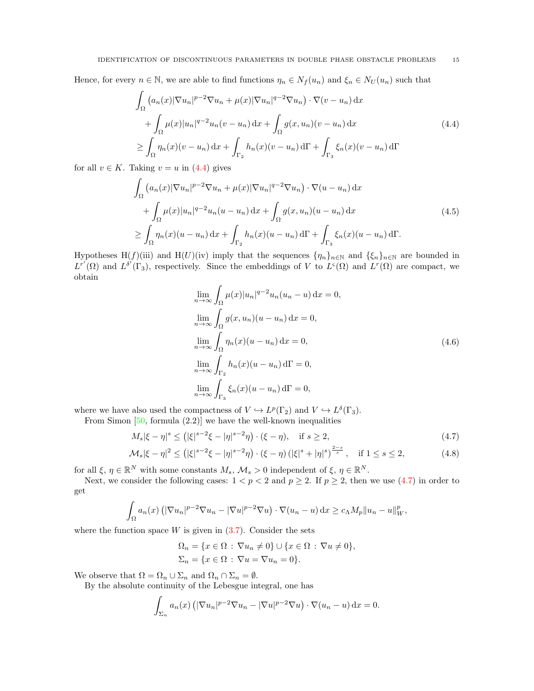#### IDENTIFICATION OF DISCONTINUOUS PARAMETERS IN DOUBLE PHASE OBSTACLE PROBLEMS 15

Hence, for every  $n \in \mathbb{N}$ , we are able to find functions  $\eta_n \in N_f(u_n)$  and  $\xi_n \in N_U(u_n)$  such that

$$
\int_{\Omega} \left( a_n(x) |\nabla u_n|^{p-2} \nabla u_n + \mu(x) |\nabla u_n|^{q-2} \nabla u_n \right) \cdot \nabla (v - u_n) \, dx
$$
\n
$$
+ \int_{\Omega} \mu(x) |u_n|^{q-2} u_n(v - u_n) \, dx + \int_{\Omega} g(x, u_n)(v - u_n) \, dx
$$
\n
$$
\geq \int_{\Omega} \eta_n(x) (v - u_n) \, dx + \int_{\Gamma_2} h_n(x) (v - u_n) \, d\Gamma + \int_{\Gamma_3} \xi_n(x) (v - u_n) \, d\Gamma
$$
\n(4.4)

for all  $v \in K$ . Taking  $v = u$  in [\(4.4\)](#page-14-0) gives

$$
\int_{\Omega} \left( a_n(x) |\nabla u_n|^{p-2} \nabla u_n + \mu(x) |\nabla u_n|^{q-2} \nabla u_n \right) \cdot \nabla (u - u_n) \, dx
$$
\n
$$
+ \int_{\Omega} \mu(x) |u_n|^{q-2} u_n(u - u_n) \, dx + \int_{\Omega} g(x, u_n) (u - u_n) \, dx
$$
\n
$$
\geq \int_{\Omega} \eta_n(x) (u - u_n) \, dx + \int_{\Gamma_2} h_n(x) (u - u_n) \, d\Gamma + \int_{\Gamma_3} \xi_n(x) (u - u_n) \, d\Gamma.
$$
\n(4.5)

Hypotheses H(f)(iii) and H(U)(iv) imply that the sequences  $\{\eta_n\}_{n\in\mathbb{N}}$  and  $\{\xi_n\}_{n\in\mathbb{N}}$  are bounded in  $L^{r'}(\Omega)$  and  $L^{\delta'}(\Gamma_3)$ , respectively. Since the embeddings of V to  $L^s(\Omega)$  and  $L^r(\Omega)$  are compact, we obtain

<span id="page-14-4"></span><span id="page-14-1"></span>
$$
\lim_{n \to \infty} \int_{\Omega} \mu(x)|u_n|^{q-2} u_n(u_n - u) dx = 0,
$$
  
\n
$$
\lim_{n \to \infty} \int_{\Omega} g(x, u_n)(u - u_n) dx = 0,
$$
  
\n
$$
\lim_{n \to \infty} \int_{\Omega} \eta_n(x)(u - u_n) dx = 0,
$$
  
\n
$$
\lim_{n \to \infty} \int_{\Gamma_2} h_n(x)(u - u_n) d\Gamma = 0,
$$
  
\n
$$
\lim_{n \to \infty} \int_{\Gamma_3} \xi_n(x)(u - u_n) d\Gamma = 0,
$$
\n(4.6)

where we have also used the compactness of  $V \hookrightarrow L^p(\Gamma_2)$  and  $V \hookrightarrow L^{\delta}(\Gamma_3)$ .

From Simon  $[50, \text{formula } (2.2)]$  we have the well-known inequalities

$$
M_s|\xi - \eta|^s \le (|\xi|^{s-2}\xi - |\eta|^{s-2}\eta) \cdot (\xi - \eta), \quad \text{if } s \ge 2,
$$
\n(4.7)

$$
\mathcal{M}_s |\xi - \eta|^2 \le (|\xi|^{s-2} \xi - |\eta|^{s-2} \eta) \cdot (\xi - \eta) (|\xi|^s + |\eta|^s)^{\frac{2-s}{s}}, \quad \text{if } 1 \le s \le 2,
$$
 (4.8)

for all  $\xi, \eta \in \mathbb{R}^N$  with some constants  $M_s, \mathcal{M}_s > 0$  independent of  $\xi, \eta \in \mathbb{R}^N$ .

Next, we consider the following cases:  $1 < p < 2$  and  $p \ge 2$ . If  $p \ge 2$ , then we use [\(4.7\)](#page-14-1) in order to get

$$
\int_{\Omega} a_n(x) \left( |\nabla u_n|^{p-2} \nabla u_n - |\nabla u|^{p-2} \nabla u \right) \cdot \nabla (u_n - u) \, \mathrm{d}x \ge c_\Lambda M_p \|u_n - u\|_{W}^p,
$$

where the function space  $W$  is given in  $(3.7)$ . Consider the sets

<span id="page-14-2"></span>
$$
\Omega_n = \{x \in \Omega : \nabla u_n \neq 0\} \cup \{x \in \Omega : \nabla u \neq 0\},\
$$
  

$$
\Sigma_n = \{x \in \Omega : \nabla u = \nabla u_n = 0\}.
$$

We observe that  $\Omega = \Omega_n \cup \Sigma_n$  and  $\Omega_n \cap \Sigma_n = \emptyset$ .

By the absolute continuity of the Lebesgue integral, one has

$$
\int_{\Sigma_n} a_n(x) \left( |\nabla u_n|^{p-2} \nabla u_n - |\nabla u|^{p-2} \nabla u \right) \cdot \nabla (u_n - u) \, \mathrm{d}x = 0.
$$

<span id="page-14-3"></span><span id="page-14-0"></span>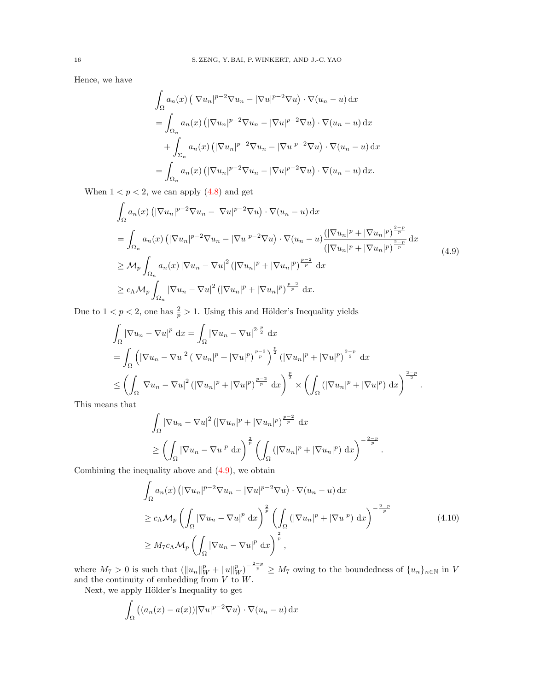Hence, we have

<span id="page-15-0"></span>
$$
\int_{\Omega} a_n(x) \left( |\nabla u_n|^{p-2} \nabla u_n - |\nabla u|^{p-2} \nabla u \right) \cdot \nabla (u_n - u) \, dx
$$
  
\n
$$
= \int_{\Omega_n} a_n(x) \left( |\nabla u_n|^{p-2} \nabla u_n - |\nabla u|^{p-2} \nabla u \right) \cdot \nabla (u_n - u) \, dx
$$
  
\n
$$
+ \int_{\Sigma_n} a_n(x) \left( |\nabla u_n|^{p-2} \nabla u_n - |\nabla u|^{p-2} \nabla u \right) \cdot \nabla (u_n - u) \, dx
$$
  
\n
$$
= \int_{\Omega_n} a_n(x) \left( |\nabla u_n|^{p-2} \nabla u_n - |\nabla u|^{p-2} \nabla u \right) \cdot \nabla (u_n - u) \, dx.
$$

When  $1 < p < 2$ , we can apply  $(4.8)$  and get

$$
\int_{\Omega} a_n(x) \left( |\nabla u_n|^{p-2} \nabla u_n - |\nabla u|^{p-2} \nabla u \right) \cdot \nabla (u_n - u) \, dx
$$
\n
$$
= \int_{\Omega_n} a_n(x) \left( |\nabla u_n|^{p-2} \nabla u_n - |\nabla u|^{p-2} \nabla u \right) \cdot \nabla (u_n - u) \frac{\left( |\nabla u_n|^p + |\nabla u_n|^p \right)^{\frac{2-p}{p}}}{\left( |\nabla u_n|^p + |\nabla u_n|^p \right)^{\frac{2-p}{p}}} \, dx
$$
\n
$$
\geq \mathcal{M}_p \int_{\Omega_n} a_n(x) \left| \nabla u_n - \nabla u \right|^2 \left( |\nabla u_n|^p + |\nabla u_n|^p \right)^{\frac{p-2}{p}} \, dx
$$
\n
$$
\geq c_\Lambda \mathcal{M}_p \int_{\Omega_n} |\nabla u_n - \nabla u|^2 \left( |\nabla u_n|^p + |\nabla u_n|^p \right)^{\frac{p-2}{p}} \, dx.
$$
\n(4.9)

Due to  $1 < p < 2$ , one has  $\frac{2}{p} > 1$ . Using this and Hölder's Inequality yields

$$
\int_{\Omega} |\nabla u_n - \nabla u|^p \, dx = \int_{\Omega} |\nabla u_n - \nabla u|^{2 \cdot \frac{p}{2}} \, dx
$$
  
\n
$$
= \int_{\Omega} \left( |\nabla u_n - \nabla u|^2 \left( |\nabla u_n|^p + |\nabla u|^p \right)^{\frac{p-2}{p}} \right)^{\frac{p}{2}} \left( |\nabla u_n|^p + |\nabla u|^p \right)^{\frac{2-p}{2}} \, dx
$$
  
\n
$$
\leq \left( \int_{\Omega} |\nabla u_n - \nabla u|^2 \left( |\nabla u_n|^p + |\nabla u|^p \right)^{\frac{p-2}{p}} \, dx \right)^{\frac{p}{2}} \times \left( \int_{\Omega} \left( |\nabla u_n|^p + |\nabla u|^p \right) \, dx \right)^{\frac{2-p}{2}}.
$$

This means that

$$
\int_{\Omega} |\nabla u_n - \nabla u|^2 \left( |\nabla u_n|^p + |\nabla u_n|^p \right)^{\frac{p-2}{p}} dx
$$
\n
$$
\geq \left( \int_{\Omega} |\nabla u_n - \nabla u|^p dx \right)^{\frac{2}{p}} \left( \int_{\Omega} \left( |\nabla u_n|^p + |\nabla u_n|^p \right) dx \right)^{-\frac{2-p}{p}}.
$$

Combining the inequality above and  $(4.9)$ , we obtain

<span id="page-15-1"></span>
$$
\int_{\Omega} a_n(x) \left( |\nabla u_n|^{p-2} \nabla u_n - |\nabla u|^{p-2} \nabla u \right) \cdot \nabla (u_n - u) \, dx
$$
\n
$$
\geq c_\Lambda \mathcal{M}_p \left( \int_{\Omega} |\nabla u_n - \nabla u|^p \, dx \right)^{\frac{2}{p}} \left( \int_{\Omega} \left( |\nabla u_n|^p + |\nabla u|^p \right) \, dx \right)^{-\frac{2-p}{p}}
$$
\n
$$
\geq M_7 c_\Lambda \mathcal{M}_p \left( \int_{\Omega} |\nabla u_n - \nabla u|^p \, dx \right)^{\frac{2}{p}},
$$
\n(4.10)

where  $M_7 > 0$  is such that  $(\|u_n\|_W^p + \|u\|_W^p)^{-\frac{2-p}{p}} \ge M_7$  owing to the boundedness of  $\{u_n\}_{n\in\mathbb{N}}$  in V and the continuity of embedding from  $V$  to  $W$ .

Next, we apply Hölder's Inequality to get

$$
\int_{\Omega} \left( (a_n(x) - a(x)) |\nabla u|^{p-2} \nabla u \right) \cdot \nabla (u_n - u) \, \mathrm{d}x
$$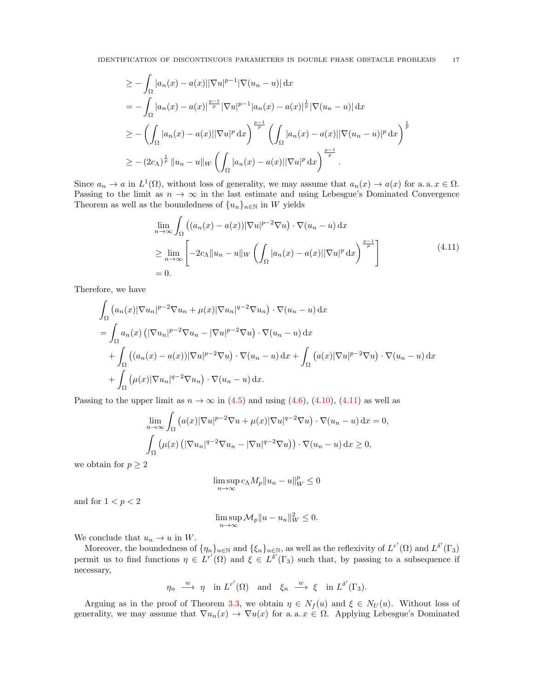$$
\geq -\int_{\Omega} |a_n(x) - a(x)||\nabla u|^{p-1} |\nabla (u_n - u)| \, dx
$$
  
=  $-\int_{\Omega} |a_n(x) - a(x)|^{\frac{p-1}{p}} |\nabla u|^{p-1} |a_n(x) - a(x)|^{\frac{1}{p}} |\nabla (u_n - u)| \, dx$   
 $\geq -\left(\int_{\Omega} |a_n(x) - a(x)||\nabla u|^p \, dx\right)^{\frac{p-1}{p}} \left(\int_{\Omega} |a_n(x) - a(x)||\nabla (u_n - u)|^p \, dx\right)^{\frac{1}{p}}$   
 $\geq -(2c_{\Lambda})^{\frac{1}{p}} ||u_n - u||_W \left(\int_{\Omega} |a_n(x) - a(x)||\nabla u|^p \, dx\right)^{\frac{p-1}{p}}.$ 

Since  $a_n \to a$  in  $L^1(\Omega)$ , without loss of generality, we may assume that  $a_n(x) \to a(x)$  for a. a.  $x \in \Omega$ . Passing to the limit as  $n \to \infty$  in the last estimate and using Lebesgue's Dominated Convergence Theorem as well as the boundedness of  $\{u_n\}_{n\in\mathbb{N}}$  in  $W$  yields

<span id="page-16-0"></span>
$$
\lim_{n \to \infty} \int_{\Omega} \left( (a_n(x) - a(x)) |\nabla u|^{p-2} \nabla u \right) \cdot \nabla (u_n - u) \, dx
$$
\n
$$
\geq \lim_{n \to \infty} \left[ -2c_\Lambda \| u_n - u \|_W \left( \int_{\Omega} |a_n(x) - a(x)| |\nabla u|^p \, dx \right)^{\frac{p-1}{p}} \right]
$$
\n
$$
= 0.
$$
\n(4.11)

Therefore, we have

$$
\int_{\Omega} (a_n(x)|\nabla u_n|^{p-2}\nabla u_n + \mu(x)|\nabla u_n|^{q-2}\nabla u_n) \cdot \nabla (u_n - u) dx
$$
\n
$$
= \int_{\Omega} a_n(x) \left( |\nabla u_n|^{p-2}\nabla u_n - |\nabla u|^{p-2}\nabla u \right) \cdot \nabla (u_n - u) dx
$$
\n
$$
+ \int_{\Omega} \left( (a_n(x) - a(x))|\nabla u|^{p-2}\nabla u \right) \cdot \nabla (u_n - u) dx + \int_{\Omega} \left( a(x)|\nabla u|^{p-2}\nabla u \right) \cdot \nabla (u_n - u) dx
$$
\n
$$
+ \int_{\Omega} \left( \mu(x)|\nabla u_n|^{q-2}\nabla u_n \right) \cdot \nabla (u_n - u) dx.
$$

Passing to the upper limit as  $n \to \infty$  in [\(4.5\)](#page-14-3) and using [\(4.6\)](#page-14-4), [\(4.10\)](#page-15-1), [\(4.11\)](#page-16-0) as well as

$$
\lim_{n \to \infty} \int_{\Omega} \left( a(x) |\nabla u|^{p-2} \nabla u + \mu(x) |\nabla u|^{q-2} \nabla u \right) \cdot \nabla (u_n - u) \, dx = 0,
$$
  

$$
\int_{\Omega} \left( \mu(x) \left( |\nabla u_n|^{q-2} \nabla u_n - |\nabla u|^{q-2} \nabla u \right) \right) \cdot \nabla (u_n - u) \, dx \ge 0,
$$

we obtain for  $p \geq 2$ 

$$
\limsup_{n\to\infty}c_\Lambda M_p\|u_n-u\|_W^p\leq 0
$$

and for  $1 < p < 2$ 

$$
\limsup_{n \to \infty} \mathcal{M}_p ||u - u_n||_W^2 \le 0.
$$

We conclude that  $u_n \to u$  in W.

Moreover, the boundedness of  $\{\eta_n\}_{n\in\mathbb{N}}$  and  $\{\xi_n\}_{n\in\mathbb{N}}$ , as well as the reflexivity of  $L^{r'}(\Omega)$  and  $L^{\delta'}(\Gamma_3)$ permit us to find functions  $\eta \in L^{r'}(\Omega)$  and  $\xi \in L^{\delta'}(\Gamma_3)$  such that, by passing to a subsequence if necessary,

$$
\eta_n \stackrel{w}{\longrightarrow} \eta
$$
 in  $L^{r'}(\Omega)$  and  $\xi_n \stackrel{w}{\longrightarrow} \xi$  in  $L^{\delta'}(\Gamma_3)$ .

Arguing as in the proof of Theorem [3.3,](#page-7-1) we obtain  $\eta \in N_f(u)$  and  $\xi \in N_U(u)$ . Without loss of generality, we may assume that  $\nabla u_n(x) \to \nabla u(x)$  for a. a.  $x \in \Omega$ . Applying Lebesgue's Dominated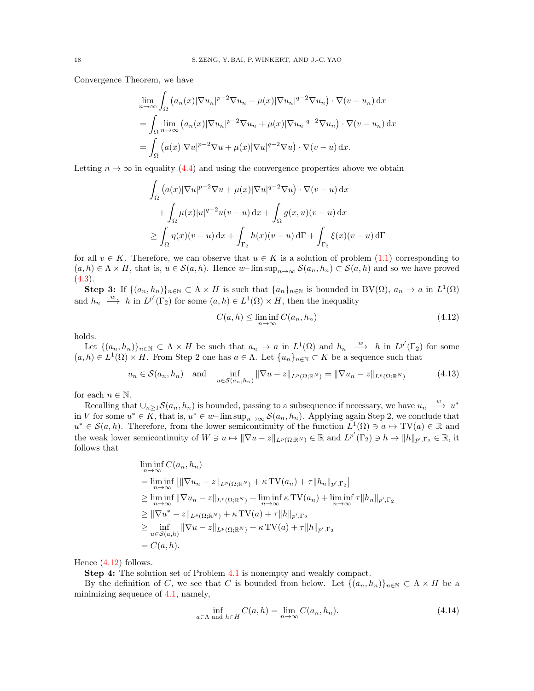Convergence Theorem, we have

$$
\lim_{n \to \infty} \int_{\Omega} \left( a_n(x) |\nabla u_n|^{p-2} \nabla u_n + \mu(x) |\nabla u_n|^{q-2} \nabla u_n \right) \cdot \nabla (v - u_n) \, dx
$$
\n
$$
= \int_{\Omega} \lim_{n \to \infty} \left( a_n(x) |\nabla u_n|^{p-2} \nabla u_n + \mu(x) |\nabla u_n|^{q-2} \nabla u_n \right) \cdot \nabla (v - u_n) \, dx
$$
\n
$$
= \int_{\Omega} \left( a(x) |\nabla u|^{p-2} \nabla u + \mu(x) |\nabla u|^{q-2} \nabla u \right) \cdot \nabla (v - u) \, dx.
$$

Letting  $n \to \infty$  in equality [\(4.4\)](#page-14-0) and using the convergence properties above we obtain

$$
\int_{\Omega} (a(x)|\nabla u|^{p-2}\nabla u + \mu(x)|\nabla u|^{q-2}\nabla u) \cdot \nabla (v-u) dx
$$
  
+ 
$$
\int_{\Omega} \mu(x)|u|^{q-2}u(v-u) dx + \int_{\Omega} g(x,u)(v-u) dx
$$
  

$$
\geq \int_{\Omega} \eta(x)(v-u) dx + \int_{\Gamma_2} h(x)(v-u) d\Gamma + \int_{\Gamma_3} \xi(x)(v-u) d\Gamma
$$

for all  $v \in K$ . Therefore, we can observe that  $u \in K$  is a solution of problem  $(1.1)$  corresponding to  $(a, h) \in \Lambda \times H$ , that is,  $u \in \mathcal{S}(a, h)$ . Hence w–lim  $\sup_{n \to \infty} \mathcal{S}(a_n, h_n) \subset \mathcal{S}(a, h)$  and so we have proved  $(4.3).$  $(4.3).$ 

**Step 3:** If  $\{(a_n, h_n)\}_{n \in \mathbb{N}} \subset \Lambda \times H$  is such that  $\{a_n\}_{n \in \mathbb{N}}$  is bounded in BV( $\Omega$ ),  $a_n \to a$  in  $L^1(\Omega)$ and  $h_n \stackrel{w}{\longrightarrow} h$  in  $L^{p'}(\Gamma_2)$  for some  $(a, h) \in L^1(\Omega) \times H$ , then the inequality

<span id="page-17-0"></span>
$$
C(a, h) \le \liminf_{n \to \infty} C(a_n, h_n)
$$
\n(4.12)

holds.

Let  $\{(a_n, h_n)\}_{n \in \mathbb{N}} \subset \Lambda \times H$  be such that  $a_n \to a$  in  $L^1(\Omega)$  and  $h_n \stackrel{w}{\longrightarrow} h$  in  $L^{p'}(\Gamma_2)$  for some  $(a, h) \in L^1(\Omega) \times H$ . From Step 2 one has  $a \in \Lambda$ . Let  $\{u_n\}_{n \in \mathbb{N}} \subset K$  be a sequence such that

<span id="page-17-1"></span>
$$
u_n \in \mathcal{S}(a_n, h_n) \quad \text{and} \quad \inf_{u \in \mathcal{S}(a_n, h_n)} \|\nabla u - z\|_{L^p(\Omega; \mathbb{R}^N)} = \|\nabla u_n - z\|_{L^p(\Omega; \mathbb{R}^N)} \tag{4.13}
$$

for each  $n \in \mathbb{N}$ .

Recalling that  $\cup_{n\geq 1} S(a_n, h_n)$  is bounded, passing to a subsequence if necessary, we have  $u_n \stackrel{w}{\longrightarrow} u^*$ in V for some  $u^* \in \overline{K}$ , that is,  $u^* \in w$ -lim sup<sub>n→∞</sub>  $\mathcal{S}(a_n, h_n)$ . Applying again Step 2, we conclude that  $u^* \in \mathcal{S}(a, h)$ . Therefore, from the lower semicontinuity of the function  $L^1(\Omega) \ni a \mapsto TV(a) \in \mathbb{R}$  and the weak lower semicontinuity of  $W \ni u \mapsto ||\nabla u - z||_{L^p(\Omega; \mathbb{R}^N)} \in \mathbb{R}$  and  $L^{p'}(\Gamma_2) \ni h \mapsto ||h||_{p', \Gamma_2} \in \mathbb{R}$ , it follows that

$$
\liminf_{n \to \infty} C(a_n, h_n)
$$
\n
$$
= \liminf_{n \to \infty} \left[ \|\nabla u_n - z\|_{L^p(\Omega; \mathbb{R}^N)} + \kappa \operatorname{TV}(a_n) + \tau \|h_n\|_{p', \Gamma_2} \right]
$$
\n
$$
\geq \liminf_{n \to \infty} \|\nabla u_n - z\|_{L^p(\Omega; \mathbb{R}^N)} + \liminf_{n \to \infty} \kappa \operatorname{TV}(a_n) + \liminf_{n \to \infty} \tau \|h_n\|_{p', \Gamma_2}
$$
\n
$$
\geq \|\nabla u^* - z\|_{L^p(\Omega; \mathbb{R}^N)} + \kappa \operatorname{TV}(a) + \tau \|h\|_{p', \Gamma_2}
$$
\n
$$
\geq \inf_{u \in S(a, h)} \|\nabla u - z\|_{L^p(\Omega; \mathbb{R}^N)} + \kappa \operatorname{TV}(a) + \tau \|h\|_{p', \Gamma_2}
$$
\n
$$
= C(a, h).
$$

Hence [\(4.12\)](#page-17-0) follows.

Step 4: The solution set of Problem [4.1](#page-12-1) is nonempty and weakly compact.

By the definition of C, we see that C is bounded from below. Let  $\{(a_n, h_n)\}_{n\in\mathbb{N}} \subset \Lambda \times H$  be a minimizing sequence of [4.1,](#page-12-3) namely,

<span id="page-17-2"></span>
$$
\inf_{a \in \Lambda \text{ and } h \in H} C(a, h) = \lim_{n \to \infty} C(a_n, h_n). \tag{4.14}
$$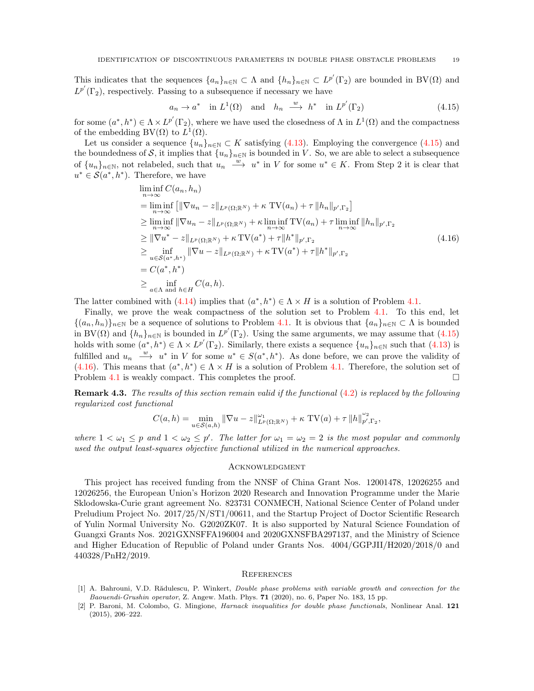This indicates that the sequences  $\{a_n\}_{n\in\mathbb{N}}\subset\Lambda$  and  $\{h_n\}_{n\in\mathbb{N}}\subset L^{p'}(\Gamma_2)$  are bounded in BV( $\Omega$ ) and  $L^{p'}(\Gamma_2)$ , respectively. Passing to a subsequence if necessary we have

<span id="page-18-3"></span><span id="page-18-2"></span>
$$
a_n \to a^*
$$
 in  $L^1(\Omega)$  and  $h_n \xrightarrow{w} h^*$  in  $L^{p'}(\Gamma_2)$  (4.15)

for some  $(a^*, h^*) \in \Lambda \times L^{p'}(\Gamma_2)$ , where we have used the closedness of  $\Lambda$  in  $L^1(\Omega)$  and the compactness of the embedding BV( $\Omega$ ) to  $L^1(\Omega)$ .

Let us consider a sequence  $\{u_n\}_{n\in\mathbb{N}}\subset K$  satisfying  $(4.13)$ . Employing the convergence  $(4.15)$  and the boundedness of S, it implies that  $\{u_n\}_{n\in\mathbb{N}}$  is bounded in V. So, we are able to select a subsequence of  $\{u_n\}_{n\in\mathbb{N}}$ , not relabeled, such that  $u_n \stackrel{w}{\longrightarrow} u^*$  in V for some  $u^* \in K$ . From Step 2 it is clear that  $u^* \in \mathcal{S}(a^*, h^*)$ . Therefore, we have

$$
\liminf_{n \to \infty} C(a_n, h_n)
$$
\n
$$
= \liminf_{n \to \infty} \left[ \|\nabla u_n - z\|_{L^p(\Omega; \mathbb{R}^N)} + \kappa \operatorname{TV}(a_n) + \tau \|h_n\|_{p', \Gamma_2} \right]
$$
\n
$$
\geq \liminf_{n \to \infty} \|\nabla u_n - z\|_{L^p(\Omega; \mathbb{R}^N)} + \kappa \liminf_{n \to \infty} \operatorname{TV}(a_n) + \tau \liminf_{n \to \infty} \|h_n\|_{p', \Gamma_2}
$$
\n
$$
\geq \|\nabla u^* - z\|_{L^p(\Omega; \mathbb{R}^N)} + \kappa \operatorname{TV}(a^*) + \tau \|h^*\|_{p', \Gamma_2}
$$
\n
$$
\geq \inf_{u \in S(a^*, h^*)} \|\nabla u - z\|_{L^p(\Omega; \mathbb{R}^N)} + \kappa \operatorname{TV}(a^*) + \tau \|h^*\|_{p', \Gamma_2}
$$
\n
$$
= C(a^*, h^*)
$$
\n
$$
\geq \inf_{a \in \Lambda \text{ and } h \in H} C(a, h).
$$
\n(4.16)

The latter combined with  $(4.14)$  implies that  $(a^*, h^*) \in \Lambda \times H$  is a solution of Problem [4.1.](#page-12-1)

Finally, we prove the weak compactness of the solution set to Problem [4.1.](#page-12-1) To this end, let  $\{(a_n, h_n)\}_{n\in\mathbb{N}}$  be a sequence of solutions to Problem [4.1.](#page-12-1) It is obvious that  $\{a_n\}_{n\in\mathbb{N}}\subset\Lambda$  is bounded in BV( $\Omega$ ) and  $\{h_n\}_{n\in\mathbb{N}}$  is bounded in  $L^{p'}(\Gamma_2)$ . Using the same arguments, we may assume that [\(4.15\)](#page-18-2) holds with some  $(a^*, h^*) \in \Lambda \times L^{p'}(\Gamma_2)$ . Similarly, there exists a sequence  $\{u_n\}_{n\in\mathbb{N}}$  such that  $(4.13)$  is fulfilled and  $u_n \stackrel{w}{\longrightarrow} u^*$  in V for some  $u^* \in S(a^*, h^*)$ . As done before, we can prove the validity of [\(4.16\)](#page-18-3). This means that  $(a^*, h^*) \in \Lambda \times H$  is a solution of Problem [4.1.](#page-12-1) Therefore, the solution set of Problem [4.1](#page-12-1) is weakly compact. This completes the proof.  $\Box$ 

**Remark 4.3.** The results of this section remain valid if the functional  $(4.2)$  is replaced by the following regularized cost functional

$$
C(a, h) = \min_{u \in \mathcal{S}(a, h)} \|\nabla u - z\|_{L^p(\Omega; \mathbb{R}^N)}^{\omega_1} + \kappa \text{ TV}(a) + \tau \|h\|_{p', \Gamma_2}^{\omega_2},
$$

where  $1 < \omega_1 \leq p$  and  $1 < \omega_2 \leq p'$ . The latter for  $\omega_1 = \omega_2 = 2$  is the most popular and commonly used the output least-squares objective functional utilized in the numerical approaches.

#### **ACKNOWLEDGMENT**

This project has received funding from the NNSF of China Grant Nos. 12001478, 12026255 and 12026256, the European Union's Horizon 2020 Research and Innovation Programme under the Marie Sklodowska-Curie grant agreement No. 823731 CONMECH, National Science Center of Poland under Preludium Project No. 2017/25/N/ST1/00611, and the Startup Project of Doctor Scientific Research of Yulin Normal University No. G2020ZK07. It is also supported by Natural Science Foundation of Guangxi Grants Nos. 2021GXNSFFA196004 and 2020GXNSFBA297137, and the Ministry of Science and Higher Education of Republic of Poland under Grants Nos. 4004/GGPJII/H2020/2018/0 and 440328/PnH2/2019.

#### **REFERENCES**

- <span id="page-18-1"></span>[1] A. Bahrouni, V.D. Rădulescu, P. Winkert, Double phase problems with variable growth and convection for the Baouendi-Grushin operator, Z. Angew. Math. Phys. 71 (2020), no. 6, Paper No. 183, 15 pp.
- <span id="page-18-0"></span>[2] P. Baroni, M. Colombo, G. Mingione, Harnack inequalities for double phase functionals, Nonlinear Anal. 121 (2015), 206–222.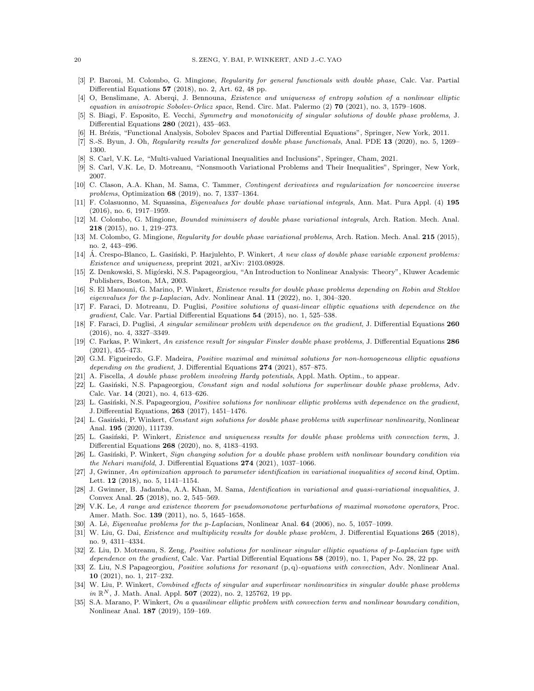- <span id="page-19-3"></span>[3] P. Baroni, M. Colombo, G. Mingione, Regularity for general functionals with double phase, Calc. Var. Partial Differential Equations 57 (2018), no. 2, Art. 62, 48 pp.
- <span id="page-19-16"></span>[4] O, Benslimane, A. Aberqi, J. Bennouna, Existence and uniqueness of entropy solution of a nonlinear elliptic equation in anisotropic Sobolev-Orlicz space, Rend. Circ. Mat. Palermo  $(2)$  70  $(2021)$ , no. 3, 1579–1608.
- <span id="page-19-17"></span>[5] S. Biagi, F. Esposito, E. Vecchi, Symmetry and monotonicity of singular solutions of double phase problems, J. Differential Equations 280 (2021), 435–463.
- <span id="page-19-32"></span>[6] H. Brézis, "Functional Analysis, Sobolev Spaces and Partial Differential Equations", Springer, New York, 2011.
- <span id="page-19-4"></span>[7] S.-S. Byun, J. Oh, Regularity results for generalized double phase functionals, Anal. PDE 13 (2020), no. 5, 1269– 1300.
- <span id="page-19-7"></span>[8] S. Carl, V.K. Le, "Multi-valued Variational Inequalities and Inclusions", Springer, Cham, 2021.
- <span id="page-19-29"></span>[9] S. Carl, V.K. Le, D. Motreanu, "Nonsmooth Variational Problems and Their Inequalities", Springer, New York, 2007.
- <span id="page-19-0"></span>[10] C. Clason, A.A. Khan, M. Sama, C. Tammer, Contingent derivatives and regularization for noncoercive inverse problems, Optimization 68 (2019), no. 7, 1337–1364.
- <span id="page-19-18"></span>[11] F. Colasuonno, M. Squassina, Eigenvalues for double phase variational integrals, Ann. Mat. Pura Appl. (4) 195 (2016), no. 6, 1917–1959.
- <span id="page-19-5"></span>[12] M. Colombo, G. Mingione, Bounded minimisers of double phase variational integrals, Arch. Ration. Mech. Anal. 218 (2015), no. 1, 219–273.
- <span id="page-19-6"></span>[13] M. Colombo, G. Mingione, *Regularity for double phase variational problems*, Arch. Ration. Mech. Anal. **215** (2015), no. 2, 443–496.
- <span id="page-19-28"></span>[14] A. Crespo-Blanco, L. Gasiński, P. Harjulehto, P. Winkert, A new class of double phase variable exponent problems: Existence and uniqueness, preprint 2021, arXiv: 2103.08928.
- <span id="page-19-31"></span>[15] Z. Denkowski, S. Mig´orski, N.S. Papageorgiou, "An Introduction to Nonlinear Analysis: Theory", Kluwer Academic Publishers, Boston, MA, 2003.
- <span id="page-19-8"></span>[16] S. El Manouni, G. Marino, P. Winkert, Existence results for double phase problems depending on Robin and Steklov eigenvalues for the p-Laplacian, Adv. Nonlinear Anal. 11 (2022), no. 1, 304–320.
- <span id="page-19-9"></span>[17] F. Faraci, D. Motreanu, D. Puglisi, Positive solutions of quasi-linear elliptic equations with dependence on the gradient, Calc. Var. Partial Differential Equations 54 (2015), no. 1, 525–538.
- <span id="page-19-10"></span>[18] F. Faraci, D. Puglisi, A singular semilinear problem with dependence on the gradient, J. Differential Equations 260 (2016), no. 4, 3327–3349.
- <span id="page-19-20"></span>[19] C. Farkas, P. Winkert, An existence result for singular Finsler double phase problems, J. Differential Equations 286 (2021), 455–473.
- <span id="page-19-11"></span>[20] G.M. Figueiredo, G.F. Madeira, Positive maximal and minimal solutions for non-homogeneous elliptic equations depending on the gradient, J. Differential Equations 274 (2021), 857-875.
- <span id="page-19-19"></span>[21] A. Fiscella, A double phase problem involving Hardy potentials, Appl. Math. Optim., to appear.
- <span id="page-19-21"></span>[22] L. Gasiński, N.S. Papageorgiou, Constant sign and nodal solutions for superlinear double phase problems, Adv. Calc. Var. 14 (2021), no. 4, 613–626.
- <span id="page-19-12"></span>[23] L. Gasiński, N.S. Papageorgiou, Positive solutions for nonlinear elliptic problems with dependence on the gradient, J. Differential Equations, 263 (2017), 1451–1476.
- <span id="page-19-22"></span>[24] L. Gasiński, P. Winkert, Constant sign solutions for double phase problems with superlinear nonlinearity, Nonlinear Anal. 195 (2020), 111739.
- <span id="page-19-23"></span>[25] L. Gasiński, P. Winkert, Existence and uniqueness results for double phase problems with convection term, J. Differential Equations 268 (2020), no. 8, 4183–4193.
- <span id="page-19-24"></span>[26] L. Gasiński, P. Winkert, Sign changing solution for a double phase problem with nonlinear boundary condition via the Nehari manifold, J. Differential Equations 274 (2021), 1037–1066.
- <span id="page-19-1"></span>[27] J, Gwinner, An optimization approach to parameter identification in variational inequalities of second kind, Optim. Lett. 12 (2018), no. 5, 1141–1154.
- <span id="page-19-2"></span>[28] J. Gwinner, B. Jadamba, A.A. Khan, M. Sama, Identification in variational and quasi-variational inequalities, J. Convex Anal. 25 (2018), no. 2, 545–569.
- <span id="page-19-30"></span>[29] V.K. Le, A range and existence theorem for pseudomonotone perturbations of maximal monotone operators, Proc. Amer. Math. Soc. 139 (2011), no. 5, 1645–1658.
- <span id="page-19-27"></span>[30] A. Lê, Eigenvalue problems for the p-Laplacian, Nonlinear Anal. 64 (2006), no. 5, 1057–1099.
- <span id="page-19-25"></span>[31] W. Liu, G. Dai, Existence and multiplicity results for double phase problem, J. Differential Equations 265 (2018), no. 9, 4311–4334.
- <span id="page-19-13"></span>[32] Z. Liu, D. Motreanu, S. Zeng, Positive solutions for nonlinear singular elliptic equations of p-Laplacian type with dependence on the gradient, Calc. Var. Partial Differential Equations 58 (2019), no. 1, Paper No. 28, 22 pp.
- <span id="page-19-14"></span>[33] Z. Liu, N.S Papageorgiou, Positive solutions for resonant (p, q)-equations with convection, Adv. Nonlinear Anal. 10 (2021), no. 1, 217–232.
- <span id="page-19-26"></span>[34] W. Liu, P. Winkert, Combined effects of singular and superlinear nonlinearities in singular double phase problems in  $\mathbb{R}^N$ , J. Math. Anal. Appl. 507 (2022), no. 2, 125762, 19 pp.
- <span id="page-19-15"></span>[35] S.A. Marano, P. Winkert, On a quasilinear elliptic problem with convection term and nonlinear boundary condition, Nonlinear Anal. 187 (2019), 159–169.